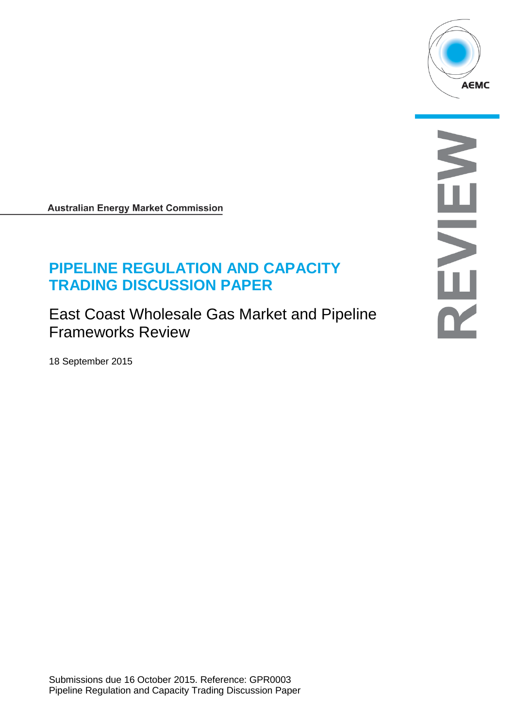

**Australian Energy Market Commission** 

# **PIPELINE REGULATION AND CAPACITY TRADING DISCUSSION PAPER**

East Coast Wholesale Gas Market and Pipeline Frameworks Review

18 September 2015

S NH<br>NH<br>NH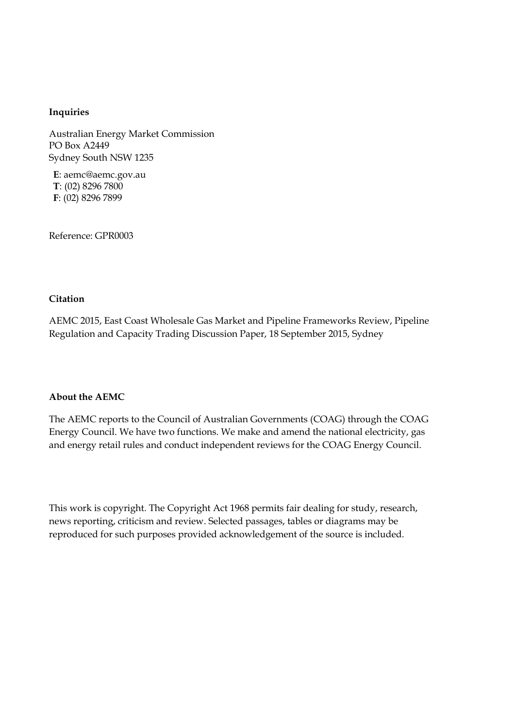#### **Inquiries**

Australian Energy Market Commission PO Box A2449 Sydney South NSW 1235

**E**: aemc@aemc.gov.au **T**: (02) 8296 7800 **F**: (02) 8296 7899

Reference: GPR0003

#### **Citation**

AEMC 2015, East Coast Wholesale Gas Market and Pipeline Frameworks Review, Pipeline Regulation and Capacity Trading Discussion Paper, 18 September 2015, Sydney

#### **About the AEMC**

The AEMC reports to the Council of Australian Governments (COAG) through the COAG Energy Council. We have two functions. We make and amend the national electricity, gas and energy retail rules and conduct independent reviews for the COAG Energy Council.

This work is copyright. The Copyright Act 1968 permits fair dealing for study, research, news reporting, criticism and review. Selected passages, tables or diagrams may be reproduced for such purposes provided acknowledgement of the source is included.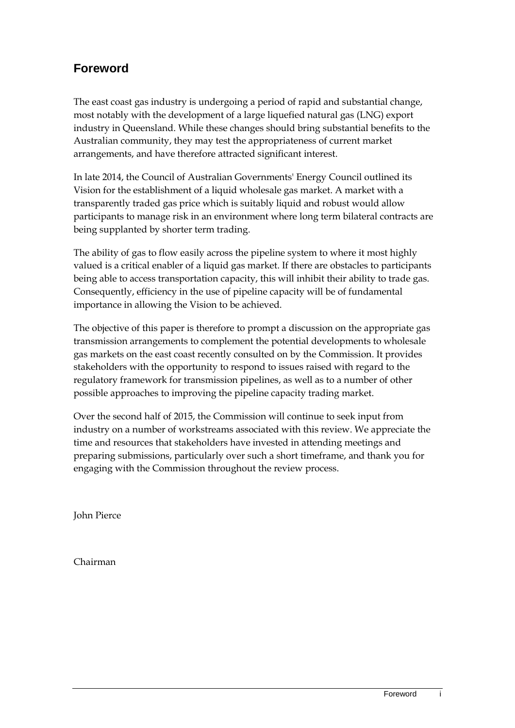## **Foreword**

The east coast gas industry is undergoing a period of rapid and substantial change, most notably with the development of a large liquefied natural gas (LNG) export industry in Queensland. While these changes should bring substantial benefits to the Australian community, they may test the appropriateness of current market arrangements, and have therefore attracted significant interest.

In late 2014, the Council of Australian Governments' Energy Council outlined its Vision for the establishment of a liquid wholesale gas market. A market with a transparently traded gas price which is suitably liquid and robust would allow participants to manage risk in an environment where long term bilateral contracts are being supplanted by shorter term trading.

The ability of gas to flow easily across the pipeline system to where it most highly valued is a critical enabler of a liquid gas market. If there are obstacles to participants being able to access transportation capacity, this will inhibit their ability to trade gas. Consequently, efficiency in the use of pipeline capacity will be of fundamental importance in allowing the Vision to be achieved.

The objective of this paper is therefore to prompt a discussion on the appropriate gas transmission arrangements to complement the potential developments to wholesale gas markets on the east coast recently consulted on by the Commission. It provides stakeholders with the opportunity to respond to issues raised with regard to the regulatory framework for transmission pipelines, as well as to a number of other possible approaches to improving the pipeline capacity trading market.

Over the second half of 2015, the Commission will continue to seek input from industry on a number of workstreams associated with this review. We appreciate the time and resources that stakeholders have invested in attending meetings and preparing submissions, particularly over such a short timeframe, and thank you for engaging with the Commission throughout the review process.

John Pierce

Chairman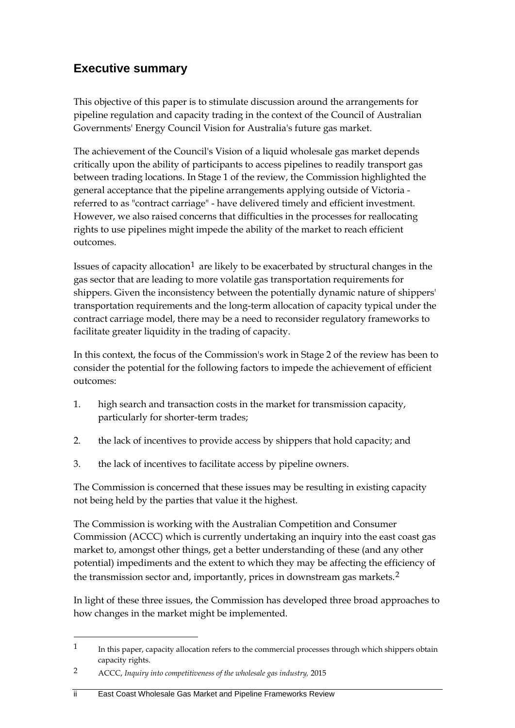## **Executive summary**

This objective of this paper is to stimulate discussion around the arrangements for pipeline regulation and capacity trading in the context of the Council of Australian Governments' Energy Council Vision for Australia's future gas market.

The achievement of the Council's Vision of a liquid wholesale gas market depends critically upon the ability of participants to access pipelines to readily transport gas between trading locations. In Stage 1 of the review, the Commission highlighted the general acceptance that the pipeline arrangements applying outside of Victoria referred to as "contract carriage" - have delivered timely and efficient investment. However, we also raised concerns that difficulties in the processes for reallocating rights to use pipelines might impede the ability of the market to reach efficient outcomes.

Issues of capacity allocation<sup>[1](#page-3-0)</sup> are likely to be exacerbated by structural changes in the gas sector that are leading to more volatile gas transportation requirements for shippers. Given the inconsistency between the potentially dynamic nature of shippers' transportation requirements and the long-term allocation of capacity typical under the contract carriage model, there may be a need to reconsider regulatory frameworks to facilitate greater liquidity in the trading of capacity.

In this context, the focus of the Commission's work in Stage 2 of the review has been to consider the potential for the following factors to impede the achievement of efficient outcomes:

- 1. high search and transaction costs in the market for transmission capacity, particularly for shorter-term trades;
- 2. the lack of incentives to provide access by shippers that hold capacity; and
- 3. the lack of incentives to facilitate access by pipeline owners.

The Commission is concerned that these issues may be resulting in existing capacity not being held by the parties that value it the highest.

The Commission is working with the Australian Competition and Consumer Commission (ACCC) which is currently undertaking an inquiry into the east coast gas market to, amongst other things, get a better understanding of these (and any other potential) impediments and the extent to which they may be affecting the efficiency of the transmission sector and, importantly, prices in downstream gas markets.[2](#page-3-1)

In light of these three issues, the Commission has developed three broad approaches to how changes in the market might be implemented.

<span id="page-3-0"></span><sup>&</sup>lt;sup>1</sup> In this paper, capacity allocation refers to the commercial processes through which shippers obtain capacity rights.

<span id="page-3-1"></span><sup>2</sup> ACCC, *Inquiry into competitiveness of the wholesale gas industry,* 2015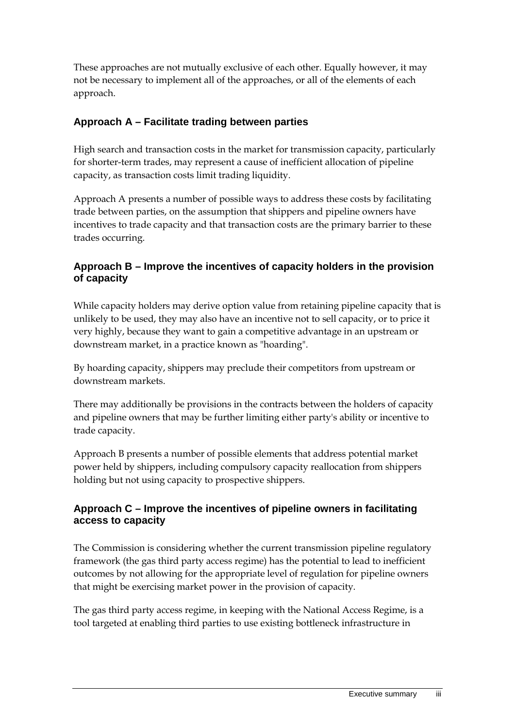These approaches are not mutually exclusive of each other. Equally however, it may not be necessary to implement all of the approaches, or all of the elements of each approach.

## **Approach A – Facilitate trading between parties**

High search and transaction costs in the market for transmission capacity, particularly for shorter-term trades, may represent a cause of inefficient allocation of pipeline capacity, as transaction costs limit trading liquidity.

Approach A presents a number of possible ways to address these costs by facilitating trade between parties, on the assumption that shippers and pipeline owners have incentives to trade capacity and that transaction costs are the primary barrier to these trades occurring.

## **Approach B – Improve the incentives of capacity holders in the provision of capacity**

While capacity holders may derive option value from retaining pipeline capacity that is unlikely to be used, they may also have an incentive not to sell capacity, or to price it very highly, because they want to gain a competitive advantage in an upstream or downstream market, in a practice known as "hoarding".

By hoarding capacity, shippers may preclude their competitors from upstream or downstream markets.

There may additionally be provisions in the contracts between the holders of capacity and pipeline owners that may be further limiting either party's ability or incentive to trade capacity.

Approach B presents a number of possible elements that address potential market power held by shippers, including compulsory capacity reallocation from shippers holding but not using capacity to prospective shippers.

## **Approach C – Improve the incentives of pipeline owners in facilitating access to capacity**

The Commission is considering whether the current transmission pipeline regulatory framework (the gas third party access regime) has the potential to lead to inefficient outcomes by not allowing for the appropriate level of regulation for pipeline owners that might be exercising market power in the provision of capacity.

The gas third party access regime, in keeping with the National Access Regime, is a tool targeted at enabling third parties to use existing bottleneck infrastructure in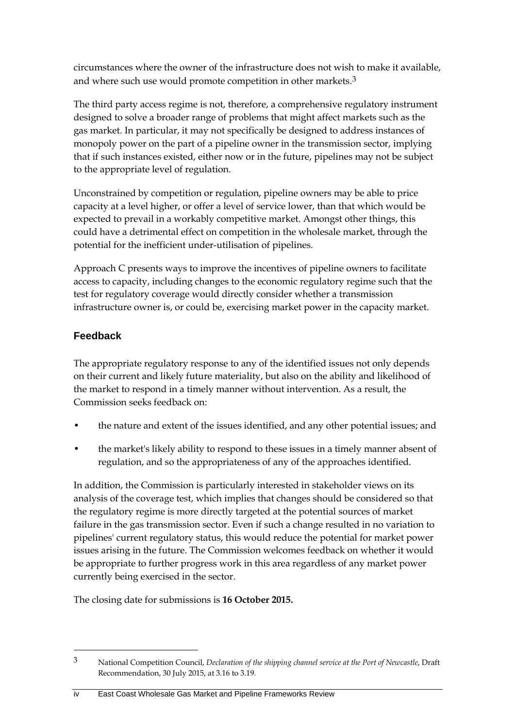circumstances where the owner of the infrastructure does not wish to make it available, and where such use would promote competition in other markets.<sup>[3](#page-5-0)</sup>

The third party access regime is not, therefore, a comprehensive regulatory instrument designed to solve a broader range of problems that might affect markets such as the gas market. In particular, it may not specifically be designed to address instances of monopoly power on the part of a pipeline owner in the transmission sector, implying that if such instances existed, either now or in the future, pipelines may not be subject to the appropriate level of regulation.

Unconstrained by competition or regulation, pipeline owners may be able to price capacity at a level higher, or offer a level of service lower, than that which would be expected to prevail in a workably competitive market. Amongst other things, this could have a detrimental effect on competition in the wholesale market, through the potential for the inefficient under-utilisation of pipelines.

Approach C presents ways to improve the incentives of pipeline owners to facilitate access to capacity, including changes to the economic regulatory regime such that the test for regulatory coverage would directly consider whether a transmission infrastructure owner is, or could be, exercising market power in the capacity market.

## **Feedback**

-

The appropriate regulatory response to any of the identified issues not only depends on their current and likely future materiality, but also on the ability and likelihood of the market to respond in a timely manner without intervention. As a result, the Commission seeks feedback on:

- the nature and extent of the issues identified, and any other potential issues; and
- the market's likely ability to respond to these issues in a timely manner absent of regulation, and so the appropriateness of any of the approaches identified.

In addition, the Commission is particularly interested in stakeholder views on its analysis of the coverage test, which implies that changes should be considered so that the regulatory regime is more directly targeted at the potential sources of market failure in the gas transmission sector. Even if such a change resulted in no variation to pipelines' current regulatory status, this would reduce the potential for market power issues arising in the future. The Commission welcomes feedback on whether it would be appropriate to further progress work in this area regardless of any market power currently being exercised in the sector.

The closing date for submissions is **16 October 2015.**

<span id="page-5-0"></span><sup>3</sup> National Competition Council, *Declaration of the shipping channel service at the Port of Newcastle*, Draft Recommendation, 30 July 2015, at 3.16 to 3.19.

iv East Coast Wholesale Gas Market and Pipeline Frameworks Review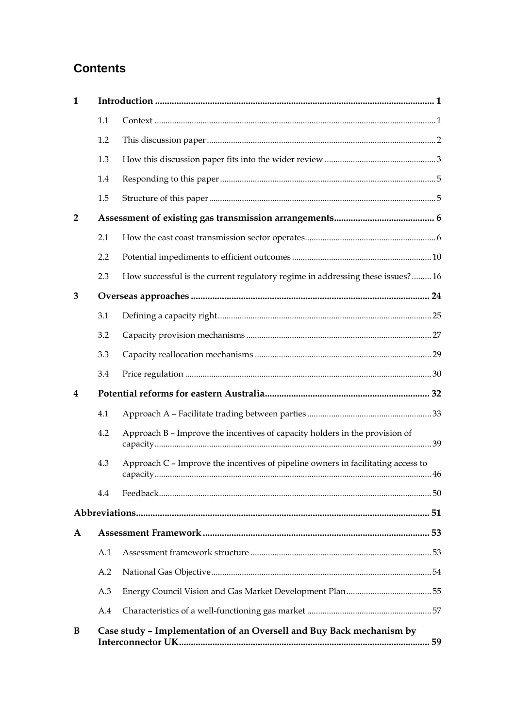## **Contents**

| 1              |     |                                                                                  |    |  |  |
|----------------|-----|----------------------------------------------------------------------------------|----|--|--|
|                | 1.1 |                                                                                  |    |  |  |
|                | 1.2 |                                                                                  |    |  |  |
|                | 1.3 |                                                                                  |    |  |  |
|                | 1.4 |                                                                                  |    |  |  |
|                | 1.5 |                                                                                  |    |  |  |
| $\overline{2}$ |     |                                                                                  |    |  |  |
|                | 2.1 |                                                                                  |    |  |  |
|                | 2.2 |                                                                                  |    |  |  |
|                | 2.3 | How successful is the current regulatory regime in addressing these issues?16    |    |  |  |
| 3              |     |                                                                                  |    |  |  |
|                | 3.1 |                                                                                  |    |  |  |
|                | 3.2 |                                                                                  |    |  |  |
|                | 3.3 |                                                                                  |    |  |  |
|                | 3.4 |                                                                                  |    |  |  |
| 4              |     |                                                                                  |    |  |  |
|                | 4.1 |                                                                                  |    |  |  |
|                | 4.2 | Approach B - Improve the incentives of capacity holders in the provision of      |    |  |  |
|                | 4.3 | Approach C - Improve the incentives of pipeline owners in facilitating access to |    |  |  |
|                | 4.4 |                                                                                  |    |  |  |
|                |     |                                                                                  |    |  |  |
| $\mathbf{A}$   |     |                                                                                  |    |  |  |
|                | A.1 |                                                                                  |    |  |  |
|                | A.2 |                                                                                  |    |  |  |
|                | A.3 |                                                                                  |    |  |  |
|                | A.4 |                                                                                  |    |  |  |
| B              |     | Case study - Implementation of an Oversell and Buy Back mechanism by             | 59 |  |  |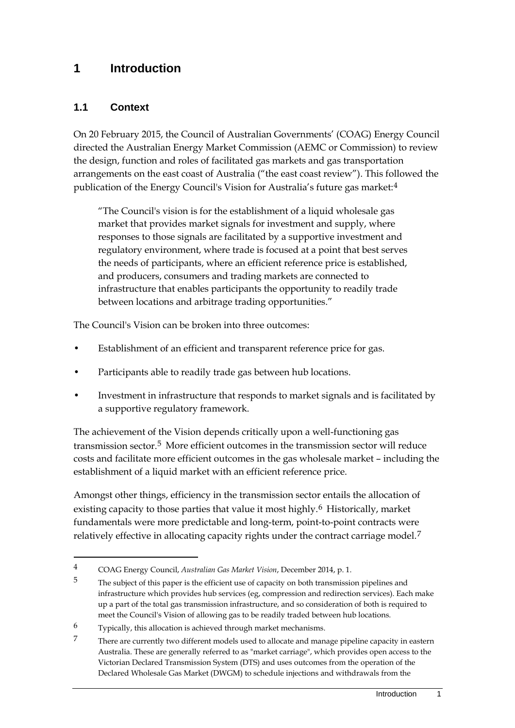## <span id="page-8-0"></span>**1 Introduction**

## <span id="page-8-1"></span>**1.1 Context**

-

On 20 February 2015, the Council of Australian Governments' (COAG) Energy Council directed the Australian Energy Market Commission (AEMC or Commission) to review the design, function and roles of facilitated gas markets and gas transportation arrangements on the east coast of Australia ("the east coast review"). This followed the publication of the Energy Council's Vision for Australia's future gas market:[4](#page-8-2)

"The Council's vision is for the establishment of a liquid wholesale gas market that provides market signals for investment and supply, where responses to those signals are facilitated by a supportive investment and regulatory environment, where trade is focused at a point that best serves the needs of participants, where an efficient reference price is established, and producers, consumers and trading markets are connected to infrastructure that enables participants the opportunity to readily trade between locations and arbitrage trading opportunities."

The Council's Vision can be broken into three outcomes:

- Establishment of an efficient and transparent reference price for gas.
- Participants able to readily trade gas between hub locations.
- Investment in infrastructure that responds to market signals and is facilitated by a supportive regulatory framework.

The achievement of the Vision depends critically upon a well-functioning gas transmission sector.[5](#page-8-3) More efficient outcomes in the transmission sector will reduce costs and facilitate more efficient outcomes in the gas wholesale market – including the establishment of a liquid market with an efficient reference price.

Amongst other things, efficiency in the transmission sector entails the allocation of existing capacity to those parties that value it most highly.<sup>[6](#page-8-4)</sup> Historically, market fundamentals were more predictable and long-term, point-to-point contracts were relatively effective in allocating capacity rights under the contract carriage model.<sup>[7](#page-8-5)</sup>

<span id="page-8-2"></span><sup>4</sup> COAG Energy Council, *Australian Gas Market Vision*, December 2014, p. 1.

<span id="page-8-3"></span><sup>&</sup>lt;sup>5</sup> The subject of this paper is the efficient use of capacity on both transmission pipelines and infrastructure which provides hub services (eg, compression and redirection services). Each make up a part of the total gas transmission infrastructure, and so consideration of both is required to meet the Council's Vision of allowing gas to be readily traded between hub locations.

<span id="page-8-4"></span><sup>6</sup> Typically, this allocation is achieved through market mechanisms.

<span id="page-8-5"></span><sup>7</sup> There are currently two different models used to allocate and manage pipeline capacity in eastern Australia. These are generally referred to as "market carriage", which provides open access to the Victorian Declared Transmission System (DTS) and uses outcomes from the operation of the Declared Wholesale Gas Market (DWGM) to schedule injections and withdrawals from the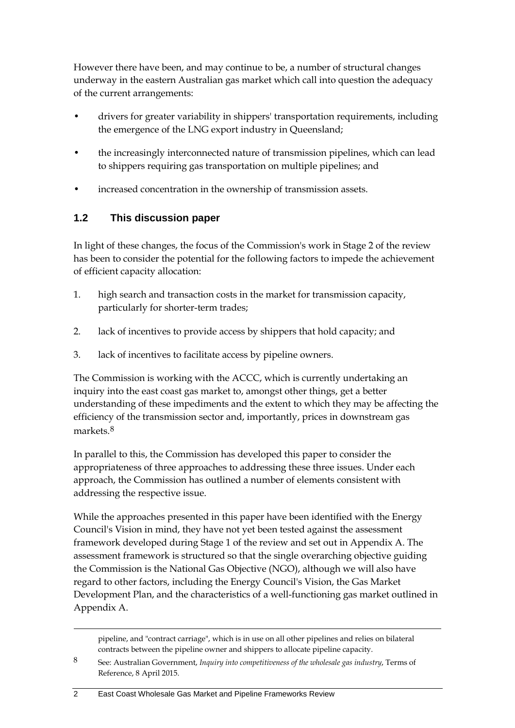However there have been, and may continue to be, a number of structural changes underway in the eastern Australian gas market which call into question the adequacy of the current arrangements:

- drivers for greater variability in shippers' transportation requirements, including the emergence of the LNG export industry in Queensland;
- the increasingly interconnected nature of transmission pipelines, which can lead to shippers requiring gas transportation on multiple pipelines; and
- increased concentration in the ownership of transmission assets.

## <span id="page-9-0"></span>**1.2 This discussion paper**

In light of these changes, the focus of the Commission's work in Stage 2 of the review has been to consider the potential for the following factors to impede the achievement of efficient capacity allocation:

- 1. high search and transaction costs in the market for transmission capacity, particularly for shorter-term trades;
- 2. lack of incentives to provide access by shippers that hold capacity; and
- 3. lack of incentives to facilitate access by pipeline owners.

The Commission is working with the ACCC, which is currently undertaking an inquiry into the east coast gas market to, amongst other things, get a better understanding of these impediments and the extent to which they may be affecting the efficiency of the transmission sector and, importantly, prices in downstream gas markets.[8](#page-9-1)

In parallel to this, the Commission has developed this paper to consider the appropriateness of three approaches to addressing these three issues. Under each approach, the Commission has outlined a number of elements consistent with addressing the respective issue.

While the approaches presented in this paper have been identified with the Energy Council's Vision in mind, they have not yet been tested against the assessment framework developed during Stage 1 of the review and set out in Appendix A. The assessment framework is structured so that the single overarching objective guiding the Commission is the National Gas Objective (NGO), although we will also have regard to other factors, including the Energy Council's Vision, the Gas Market Development Plan, and the characteristics of a well-functioning gas market outlined in Appendix A.

pipeline, and "contract carriage", which is in use on all other pipelines and relies on bilateral contracts between the pipeline owner and shippers to allocate pipeline capacity.

<span id="page-9-1"></span><sup>8</sup> See: Australian Government, *Inquiry into competitiveness of the wholesale gas industry*, Terms of Reference, 8 April 2015.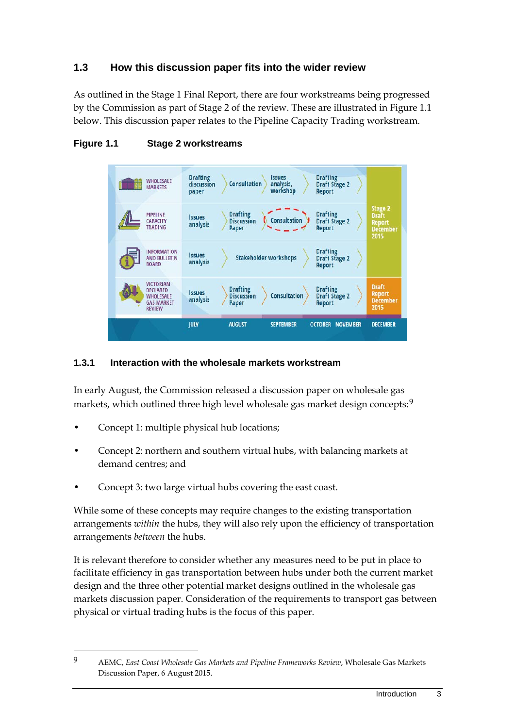## <span id="page-10-0"></span>**1.3 How this discussion paper fits into the wider review**

As outlined in the Stage 1 Final Report, there are four workstreams being progressed by the Commission as part of Stage 2 of the review. These are illustrated in Figure 1.1 below. This discussion paper relates to the Pipeline Capacity Trading workstream.



#### **Figure 1.1 Stage 2 workstreams**

#### **1.3.1 Interaction with the wholesale markets workstream**

In early August, the Commission released a discussion paper on wholesale gas markets, which outlined three high level wholesale gas market design concepts:<sup>[9](#page-10-1)</sup>

• Concept 1: multiple physical hub locations;

-

- Concept 2: northern and southern virtual hubs, with balancing markets at demand centres; and
- Concept 3: two large virtual hubs covering the east coast.

While some of these concepts may require changes to the existing transportation arrangements *within* the hubs, they will also rely upon the efficiency of transportation arrangements *between* the hubs.

It is relevant therefore to consider whether any measures need to be put in place to facilitate efficiency in gas transportation between hubs under both the current market design and the three other potential market designs outlined in the wholesale gas markets discussion paper. Consideration of the requirements to transport gas between physical or virtual trading hubs is the focus of this paper.

<span id="page-10-1"></span><sup>9</sup> AEMC, *East Coast Wholesale Gas Markets and Pipeline Frameworks Review*, Wholesale Gas Markets Discussion Paper, 6 August 2015.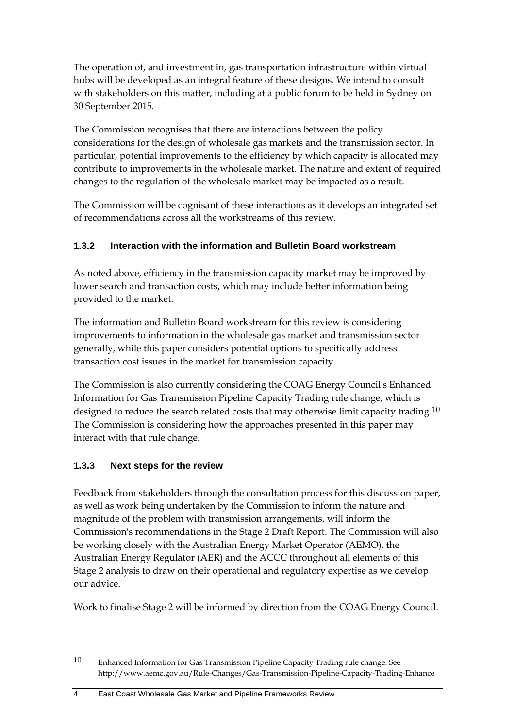The operation of, and investment in, gas transportation infrastructure within virtual hubs will be developed as an integral feature of these designs. We intend to consult with stakeholders on this matter, including at a public forum to be held in Sydney on 30 September 2015.

The Commission recognises that there are interactions between the policy considerations for the design of wholesale gas markets and the transmission sector. In particular, potential improvements to the efficiency by which capacity is allocated may contribute to improvements in the wholesale market. The nature and extent of required changes to the regulation of the wholesale market may be impacted as a result.

The Commission will be cognisant of these interactions as it develops an integrated set of recommendations across all the workstreams of this review.

## **1.3.2 Interaction with the information and Bulletin Board workstream**

As noted above, efficiency in the transmission capacity market may be improved by lower search and transaction costs, which may include better information being provided to the market.

The information and Bulletin Board workstream for this review is considering improvements to information in the wholesale gas market and transmission sector generally, while this paper considers potential options to specifically address transaction cost issues in the market for transmission capacity.

The Commission is also currently considering the COAG Energy Council's Enhanced Information for Gas Transmission Pipeline Capacity Trading rule change, which is designed to reduce the search related costs that may otherwise limit capacity trading.<sup>[10](#page-11-0)</sup> The Commission is considering how the approaches presented in this paper may interact with that rule change.

## **1.3.3 Next steps for the review**

-

Feedback from stakeholders through the consultation process for this discussion paper, as well as work being undertaken by the Commission to inform the nature and magnitude of the problem with transmission arrangements, will inform the Commission's recommendations in the Stage 2 Draft Report. The Commission will also be working closely with the Australian Energy Market Operator (AEMO), the Australian Energy Regulator (AER) and the ACCC throughout all elements of this Stage 2 analysis to draw on their operational and regulatory expertise as we develop our advice.

Work to finalise Stage 2 will be informed by direction from the COAG Energy Council.

<span id="page-11-0"></span><sup>10</sup> Enhanced Information for Gas Transmission Pipeline Capacity Trading rule change. See http://www.aemc.gov.au/Rule-Changes/Gas-Transmission-Pipeline-Capacity-Trading-Enhance

<sup>4</sup> East Coast Wholesale Gas Market and Pipeline Frameworks Review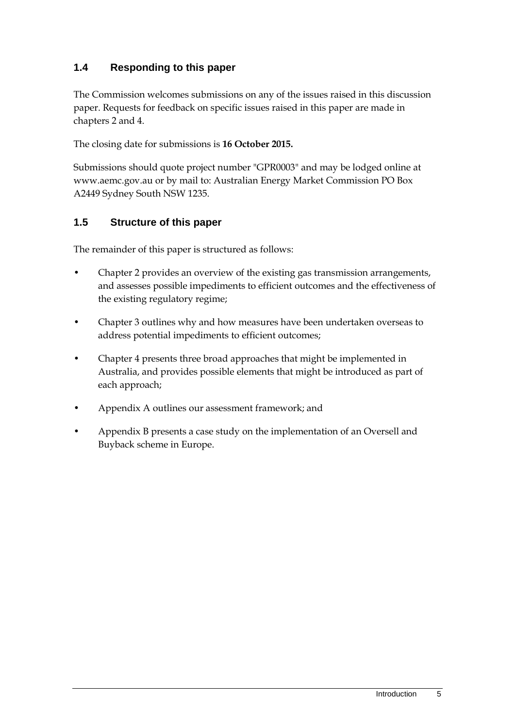## <span id="page-12-0"></span>**1.4 Responding to this paper**

The Commission welcomes submissions on any of the issues raised in this discussion paper. Requests for feedback on specific issues raised in this paper are made in chapters 2 and 4.

The closing date for submissions is **16 October 2015.**

Submissions should quote project number "GPR0003" and may be lodged online at www.aemc.gov.au or by mail to: Australian Energy Market Commission PO Box A2449 Sydney South NSW 1235.

## <span id="page-12-1"></span>**1.5 Structure of this paper**

The remainder of this paper is structured as follows:

- Chapter 2 provides an overview of the existing gas transmission arrangements, and assesses possible impediments to efficient outcomes and the effectiveness of the existing regulatory regime;
- Chapter 3 outlines why and how measures have been undertaken overseas to address potential impediments to efficient outcomes;
- Chapter 4 presents three broad approaches that might be implemented in Australia, and provides possible elements that might be introduced as part of each approach;
- Appendix A outlines our assessment framework; and
- Appendix B presents a case study on the implementation of an Oversell and Buyback scheme in Europe.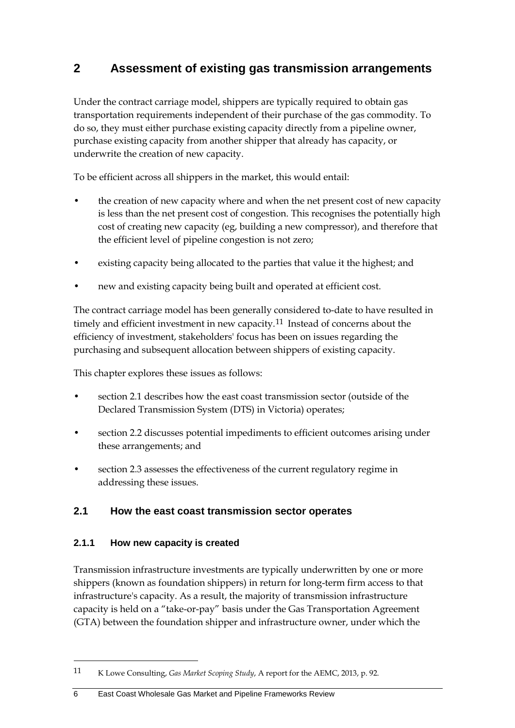## <span id="page-13-0"></span>**2 Assessment of existing gas transmission arrangements**

Under the contract carriage model, shippers are typically required to obtain gas transportation requirements independent of their purchase of the gas commodity. To do so, they must either purchase existing capacity directly from a pipeline owner, purchase existing capacity from another shipper that already has capacity, or underwrite the creation of new capacity.

To be efficient across all shippers in the market, this would entail:

- the creation of new capacity where and when the net present cost of new capacity is less than the net present cost of congestion. This recognises the potentially high cost of creating new capacity (eg, building a new compressor), and therefore that the efficient level of pipeline congestion is not zero;
- existing capacity being allocated to the parties that value it the highest; and
- new and existing capacity being built and operated at efficient cost.

The contract carriage model has been generally considered to-date to have resulted in timely and efficient investment in new capacity.<sup>[11](#page-13-2)</sup> Instead of concerns about the efficiency of investment, stakeholders' focus has been on issues regarding the purchasing and subsequent allocation between shippers of existing capacity.

This chapter explores these issues as follows:

- section [2.1](#page-13-1) describes how the east coast transmission sector (outside of the Declared Transmission System (DTS) in Victoria) operates;
- section [2.2](#page-17-0) discusses potential impediments to efficient outcomes arising under these arrangements; and
- section [2.3](#page-23-0) assesses the effectiveness of the current regulatory regime in addressing these issues.

#### <span id="page-13-1"></span>**2.1 How the east coast transmission sector operates**

#### **2.1.1 How new capacity is created**

-

Transmission infrastructure investments are typically underwritten by one or more shippers (known as foundation shippers) in return for long-term firm access to that infrastructure's capacity. As a result, the majority of transmission infrastructure capacity is held on a "take-or-pay" basis under the Gas Transportation Agreement (GTA) between the foundation shipper and infrastructure owner, under which the

<span id="page-13-2"></span><sup>11</sup> K Lowe Consulting, *Gas Market Scoping Study*, A report for the AEMC, 2013, p. 92.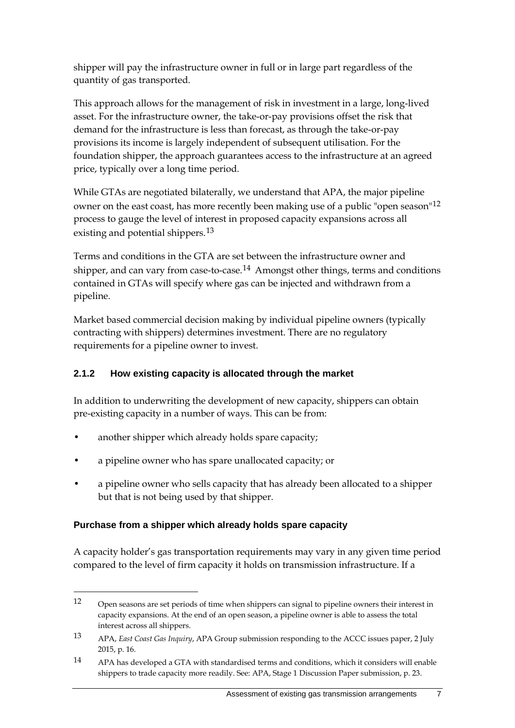shipper will pay the infrastructure owner in full or in large part regardless of the quantity of gas transported.

This approach allows for the management of risk in investment in a large, long-lived asset. For the infrastructure owner, the take-or-pay provisions offset the risk that demand for the infrastructure is less than forecast, as through the take-or-pay provisions its income is largely independent of subsequent utilisation. For the foundation shipper, the approach guarantees access to the infrastructure at an agreed price, typically over a long time period.

While GTAs are negotiated bilaterally, we understand that APA, the major pipeline owner on the east coast, has more recently been making use of a public "open season"<sup>[12](#page-14-0)</sup> process to gauge the level of interest in proposed capacity expansions across all existing and potential shippers.<sup>[13](#page-14-1)</sup>

Terms and conditions in the GTA are set between the infrastructure owner and shipper, and can vary from case-to-case.<sup>[14](#page-14-2)</sup> Amongst other things, terms and conditions contained in GTAs will specify where gas can be injected and withdrawn from a pipeline.

Market based commercial decision making by individual pipeline owners (typically contracting with shippers) determines investment. There are no regulatory requirements for a pipeline owner to invest.

## **2.1.2 How existing capacity is allocated through the market**

In addition to underwriting the development of new capacity, shippers can obtain pre-existing capacity in a number of ways. This can be from:

- another shipper which already holds spare capacity;
- a pipeline owner who has spare unallocated capacity; or
- a pipeline owner who sells capacity that has already been allocated to a shipper but that is not being used by that shipper.

#### **Purchase from a shipper which already holds spare capacity**

-

A capacity holder's gas transportation requirements may vary in any given time period compared to the level of firm capacity it holds on transmission infrastructure. If a

<span id="page-14-0"></span><sup>12</sup> Open seasons are set periods of time when shippers can signal to pipeline owners their interest in capacity expansions. At the end of an open season, a pipeline owner is able to assess the total interest across all shippers.

<span id="page-14-1"></span><sup>13</sup> APA, *East Coast Gas Inquiry*, APA Group submission responding to the ACCC issues paper, 2 July 2015, p. 16.

<span id="page-14-2"></span><sup>14</sup> APA has developed a GTA with standardised terms and conditions, which it considers will enable shippers to trade capacity more readily. See: APA, Stage 1 Discussion Paper submission, p. 23.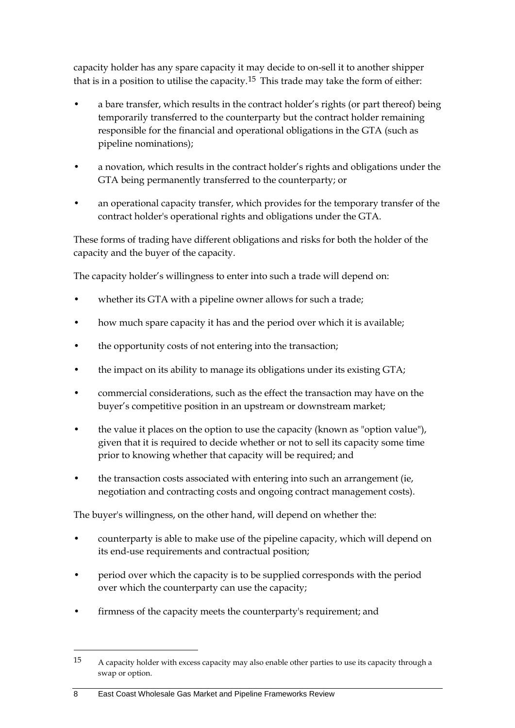capacity holder has any spare capacity it may decide to on-sell it to another shipper that is in a position to utilise the capacity.<sup>[15](#page-15-0)</sup> This trade may take the form of either:

- a bare transfer, which results in the contract holder's rights (or part thereof) being temporarily transferred to the counterparty but the contract holder remaining responsible for the financial and operational obligations in the GTA (such as pipeline nominations);
- a novation, which results in the contract holder's rights and obligations under the GTA being permanently transferred to the counterparty; or
- an operational capacity transfer, which provides for the temporary transfer of the contract holder's operational rights and obligations under the GTA.

These forms of trading have different obligations and risks for both the holder of the capacity and the buyer of the capacity.

The capacity holder's willingness to enter into such a trade will depend on:

- whether its GTA with a pipeline owner allows for such a trade;
- how much spare capacity it has and the period over which it is available;
- the opportunity costs of not entering into the transaction;
- the impact on its ability to manage its obligations under its existing GTA;
- commercial considerations, such as the effect the transaction may have on the buyer's competitive position in an upstream or downstream market;
- the value it places on the option to use the capacity (known as "option value"), given that it is required to decide whether or not to sell its capacity some time prior to knowing whether that capacity will be required; and
- the transaction costs associated with entering into such an arrangement (ie, negotiation and contracting costs and ongoing contract management costs).

The buyer's willingness, on the other hand, will depend on whether the:

- counterparty is able to make use of the pipeline capacity, which will depend on its end-use requirements and contractual position;
- period over which the capacity is to be supplied corresponds with the period over which the counterparty can use the capacity;
- firmness of the capacity meets the counterparty's requirement; and

8 East Coast Wholesale Gas Market and Pipeline Frameworks Review

<span id="page-15-0"></span><sup>15</sup> A capacity holder with excess capacity may also enable other parties to use its capacity through a swap or option.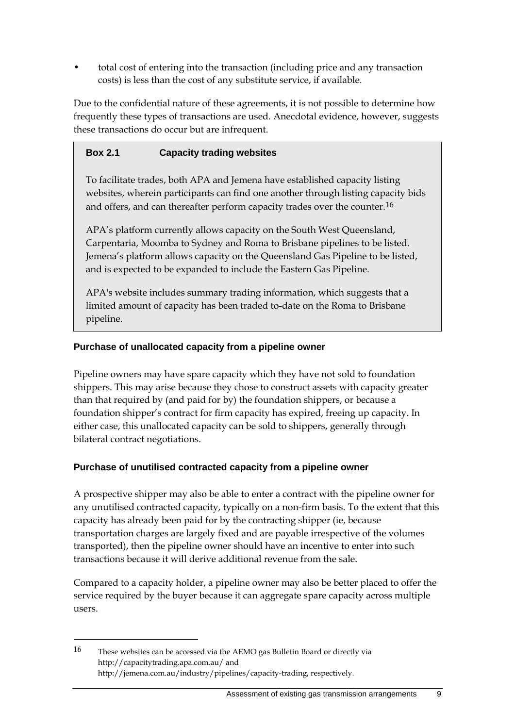• total cost of entering into the transaction (including price and any transaction costs) is less than the cost of any substitute service, if available.

Due to the confidential nature of these agreements, it is not possible to determine how frequently these types of transactions are used. Anecdotal evidence, however, suggests these transactions do occur but are infrequent.

### **Box 2.1 Capacity trading websites**

To facilitate trades, both APA and Jemena have established capacity listing websites, wherein participants can find one another through listing capacity bids and offers, and can thereafter perform capacity trades over the counter.[16](#page-16-0)

APA's platform currently allows capacity on the South West Queensland, Carpentaria, Moomba to Sydney and Roma to Brisbane pipelines to be listed. Jemena's platform allows capacity on the Queensland Gas Pipeline to be listed, and is expected to be expanded to include the Eastern Gas Pipeline.

APA's website includes summary trading information, which suggests that a limited amount of capacity has been traded to-date on the Roma to Brisbane pipeline.

#### **Purchase of unallocated capacity from a pipeline owner**

Pipeline owners may have spare capacity which they have not sold to foundation shippers. This may arise because they chose to construct assets with capacity greater than that required by (and paid for by) the foundation shippers, or because a foundation shipper's contract for firm capacity has expired, freeing up capacity. In either case, this unallocated capacity can be sold to shippers, generally through bilateral contract negotiations.

#### **Purchase of unutilised contracted capacity from a pipeline owner**

A prospective shipper may also be able to enter a contract with the pipeline owner for any unutilised contracted capacity, typically on a non-firm basis. To the extent that this capacity has already been paid for by the contracting shipper (ie, because transportation charges are largely fixed and are payable irrespective of the volumes transported), then the pipeline owner should have an incentive to enter into such transactions because it will derive additional revenue from the sale.

Compared to a capacity holder, a pipeline owner may also be better placed to offer the service required by the buyer because it can aggregate spare capacity across multiple users.

<span id="page-16-0"></span><sup>16</sup> These websites can be accessed via the AEMO gas Bulletin Board or directly via http://capacitytrading.apa.com.au/ and http://jemena.com.au/industry/pipelines/capacity-trading, respectively.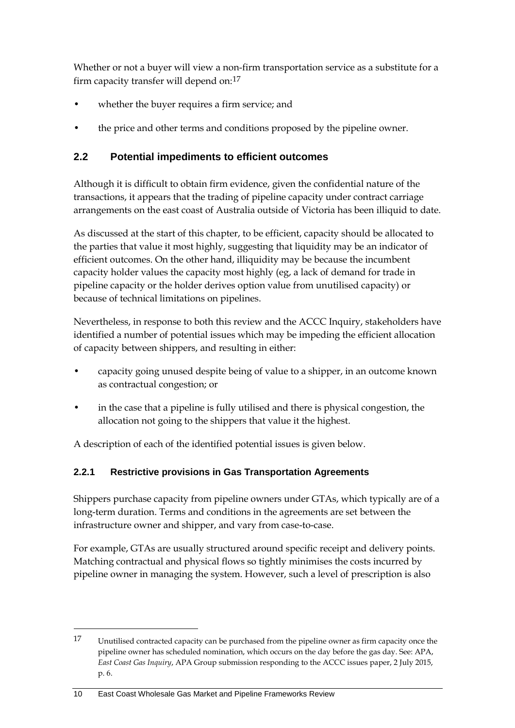Whether or not a buyer will view a non-firm transportation service as a substitute for a firm capacity transfer will depend on:[17](#page-17-1)

- whether the buyer requires a firm service; and
- the price and other terms and conditions proposed by the pipeline owner.

## <span id="page-17-0"></span>**2.2 Potential impediments to efficient outcomes**

Although it is difficult to obtain firm evidence, given the confidential nature of the transactions, it appears that the trading of pipeline capacity under contract carriage arrangements on the east coast of Australia outside of Victoria has been illiquid to date.

As discussed at the start of this chapter, to be efficient, capacity should be allocated to the parties that value it most highly, suggesting that liquidity may be an indicator of efficient outcomes. On the other hand, illiquidity may be because the incumbent capacity holder values the capacity most highly (eg, a lack of demand for trade in pipeline capacity or the holder derives option value from unutilised capacity) or because of technical limitations on pipelines.

Nevertheless, in response to both this review and the ACCC Inquiry, stakeholders have identified a number of potential issues which may be impeding the efficient allocation of capacity between shippers, and resulting in either:

- capacity going unused despite being of value to a shipper, in an outcome known as contractual congestion; or
- in the case that a pipeline is fully utilised and there is physical congestion, the allocation not going to the shippers that value it the highest.

A description of each of the identified potential issues is given below.

## **2.2.1 Restrictive provisions in Gas Transportation Agreements**

Shippers purchase capacity from pipeline owners under GTAs, which typically are of a long-term duration. Terms and conditions in the agreements are set between the infrastructure owner and shipper, and vary from case-to-case.

For example, GTAs are usually structured around specific receipt and delivery points. Matching contractual and physical flows so tightly minimises the costs incurred by pipeline owner in managing the system. However, such a level of prescription is also

<span id="page-17-1"></span><sup>17</sup> Unutilised contracted capacity can be purchased from the pipeline owner as firm capacity once the pipeline owner has scheduled nomination, which occurs on the day before the gas day. See: APA, *East Coast Gas Inquiry*, APA Group submission responding to the ACCC issues paper, 2 July 2015, p. 6.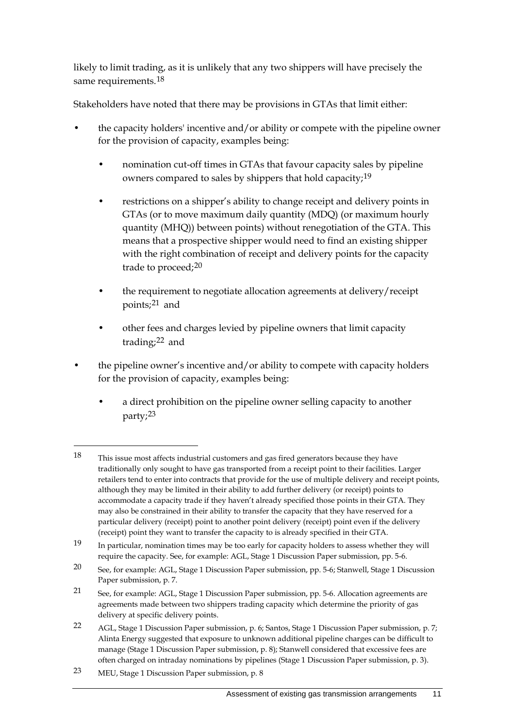likely to limit trading, as it is unlikely that any two shippers will have precisely the same requirements.<sup>[18](#page-18-0)</sup>

Stakeholders have noted that there may be provisions in GTAs that limit either:

- the capacity holders' incentive and/or ability or compete with the pipeline owner for the provision of capacity, examples being:
	- nomination cut-off times in GTAs that favour capacity sales by pipeline owners compared to sales by shippers that hold capacity;[19](#page-18-1)
	- restrictions on a shipper's ability to change receipt and delivery points in GTAs (or to move maximum daily quantity (MDQ) (or maximum hourly quantity (MHQ)) between points) without renegotiation of the GTA. This means that a prospective shipper would need to find an existing shipper with the right combination of receipt and delivery points for the capacity trade to proceed;[20](#page-18-2)
	- the requirement to negotiate allocation agreements at delivery/receipt points;[21](#page-18-3) and
	- other fees and charges levied by pipeline owners that limit capacity trading;[22](#page-18-4) and
- the pipeline owner's incentive and/or ability to compete with capacity holders for the provision of capacity, examples being:
	- a direct prohibition on the pipeline owner selling capacity to another party;[23](#page-18-5)

<span id="page-18-0"></span><sup>18</sup> This issue most affects industrial customers and gas fired generators because they have traditionally only sought to have gas transported from a receipt point to their facilities. Larger retailers tend to enter into contracts that provide for the use of multiple delivery and receipt points, although they may be limited in their ability to add further delivery (or receipt) points to accommodate a capacity trade if they haven't already specified those points in their GTA. They may also be constrained in their ability to transfer the capacity that they have reserved for a particular delivery (receipt) point to another point delivery (receipt) point even if the delivery (receipt) point they want to transfer the capacity to is already specified in their GTA.

<span id="page-18-1"></span><sup>19</sup> In particular, nomination times may be too early for capacity holders to assess whether they will require the capacity. See, for example: AGL, Stage 1 Discussion Paper submission, pp. 5-6.

<span id="page-18-2"></span><sup>20</sup> See, for example: AGL, Stage 1 Discussion Paper submission, pp. 5-6; Stanwell, Stage 1 Discussion Paper submission, p. 7.

<span id="page-18-3"></span><sup>21</sup> See, for example: AGL, Stage 1 Discussion Paper submission, pp. 5-6. Allocation agreements are agreements made between two shippers trading capacity which determine the priority of gas delivery at specific delivery points.

<span id="page-18-4"></span><sup>22</sup> AGL, Stage 1 Discussion Paper submission, p. 6; Santos, Stage 1 Discussion Paper submission, p. 7; Alinta Energy suggested that exposure to unknown additional pipeline charges can be difficult to manage (Stage 1 Discussion Paper submission, p. 8); Stanwell considered that excessive fees are often charged on intraday nominations by pipelines (Stage 1 Discussion Paper submission, p. 3).

<span id="page-18-5"></span><sup>23</sup> MEU, Stage 1 Discussion Paper submission, p. 8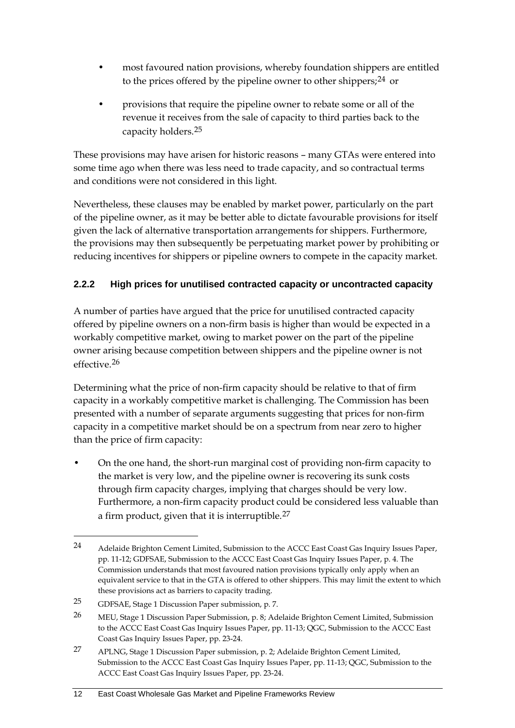- most favoured nation provisions, whereby foundation shippers are entitled to the prices offered by the pipeline owner to other shippers;  $24$  or
- provisions that require the pipeline owner to rebate some or all of the revenue it receives from the sale of capacity to third parties back to the capacity holders.[25](#page-19-1)

These provisions may have arisen for historic reasons – many GTAs were entered into some time ago when there was less need to trade capacity, and so contractual terms and conditions were not considered in this light.

Nevertheless, these clauses may be enabled by market power, particularly on the part of the pipeline owner, as it may be better able to dictate favourable provisions for itself given the lack of alternative transportation arrangements for shippers. Furthermore, the provisions may then subsequently be perpetuating market power by prohibiting or reducing incentives for shippers or pipeline owners to compete in the capacity market.

## **2.2.2 High prices for unutilised contracted capacity or uncontracted capacity**

A number of parties have argued that the price for unutilised contracted capacity offered by pipeline owners on a non-firm basis is higher than would be expected in a workably competitive market, owing to market power on the part of the pipeline owner arising because competition between shippers and the pipeline owner is not effective.[26](#page-19-2)

Determining what the price of non-firm capacity should be relative to that of firm capacity in a workably competitive market is challenging. The Commission has been presented with a number of separate arguments suggesting that prices for non-firm capacity in a competitive market should be on a spectrum from near zero to higher than the price of firm capacity:

• On the one hand, the short-run marginal cost of providing non-firm capacity to the market is very low, and the pipeline owner is recovering its sunk costs through firm capacity charges, implying that charges should be very low. Furthermore, a non-firm capacity product could be considered less valuable than a firm product, given that it is interruptible.<sup>[27](#page-19-3)</sup>

<span id="page-19-0"></span><sup>24</sup> Adelaide Brighton Cement Limited, Submission to the ACCC East Coast Gas Inquiry Issues Paper, pp. 11-12; GDFSAE, Submission to the ACCC East Coast Gas Inquiry Issues Paper, p. 4. The Commission understands that most favoured nation provisions typically only apply when an equivalent service to that in the GTA is offered to other shippers. This may limit the extent to which these provisions act as barriers to capacity trading.

<span id="page-19-1"></span><sup>25</sup> GDFSAE, Stage 1 Discussion Paper submission, p. 7.

<span id="page-19-2"></span><sup>26</sup> MEU, Stage 1 Discussion Paper Submission, p. 8; Adelaide Brighton Cement Limited, Submission to the ACCC East Coast Gas Inquiry Issues Paper, pp. 11-13; QGC, Submission to the ACCC East Coast Gas Inquiry Issues Paper, pp. 23-24.

<span id="page-19-3"></span><sup>27</sup> APLNG, Stage 1 Discussion Paper submission, p. 2; Adelaide Brighton Cement Limited, Submission to the ACCC East Coast Gas Inquiry Issues Paper, pp. 11-13; QGC, Submission to the ACCC East Coast Gas Inquiry Issues Paper, pp. 23-24.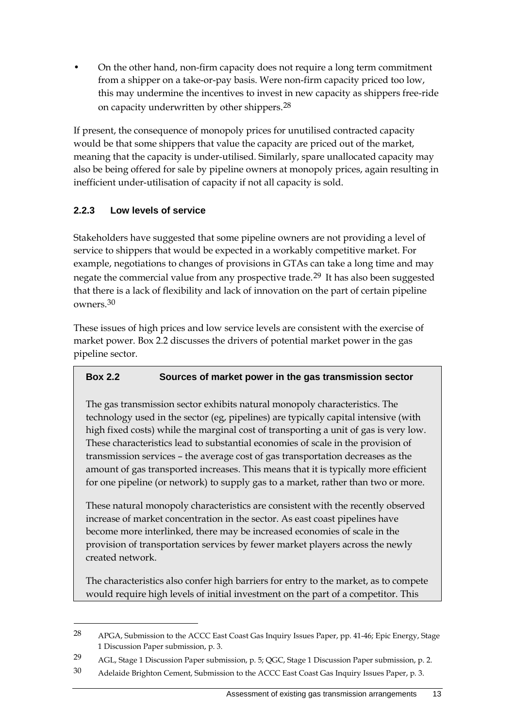• On the other hand, non-firm capacity does not require a long term commitment from a shipper on a take-or-pay basis. Were non-firm capacity priced too low, this may undermine the incentives to invest in new capacity as shippers free-ride on capacity underwritten by other shippers.[28](#page-20-0)

If present, the consequence of monopoly prices for unutilised contracted capacity would be that some shippers that value the capacity are priced out of the market, meaning that the capacity is under-utilised. Similarly, spare unallocated capacity may also be being offered for sale by pipeline owners at monopoly prices, again resulting in inefficient under-utilisation of capacity if not all capacity is sold.

## **2.2.3 Low levels of service**

-

Stakeholders have suggested that some pipeline owners are not providing a level of service to shippers that would be expected in a workably competitive market. For example, negotiations to changes of provisions in GTAs can take a long time and may negate the commercial value from any prospective trade.<sup>[29](#page-20-1)</sup> It has also been suggested that there is a lack of flexibility and lack of innovation on the part of certain pipeline owners.[30](#page-20-2)

These issues of high prices and low service levels are consistent with the exercise of market power. Box 2.2 discusses the drivers of potential market power in the gas pipeline sector.

## **Box 2.2 Sources of market power in the gas transmission sector**

The gas transmission sector exhibits natural monopoly characteristics. The technology used in the sector (eg, pipelines) are typically capital intensive (with high fixed costs) while the marginal cost of transporting a unit of gas is very low. These characteristics lead to substantial economies of scale in the provision of transmission services – the average cost of gas transportation decreases as the amount of gas transported increases. This means that it is typically more efficient for one pipeline (or network) to supply gas to a market, rather than two or more.

These natural monopoly characteristics are consistent with the recently observed increase of market concentration in the sector. As east coast pipelines have become more interlinked, there may be increased economies of scale in the provision of transportation services by fewer market players across the newly created network.

The characteristics also confer high barriers for entry to the market, as to compete would require high levels of initial investment on the part of a competitor. This

<span id="page-20-0"></span><sup>28</sup> APGA, Submission to the ACCC East Coast Gas Inquiry Issues Paper, pp. 41-46; Epic Energy, Stage 1 Discussion Paper submission, p. 3.

<span id="page-20-1"></span><sup>29</sup> AGL, Stage 1 Discussion Paper submission, p. 5; QGC, Stage 1 Discussion Paper submission, p. 2.

<span id="page-20-2"></span><sup>30</sup> Adelaide Brighton Cement, Submission to the ACCC East Coast Gas Inquiry Issues Paper, p. 3.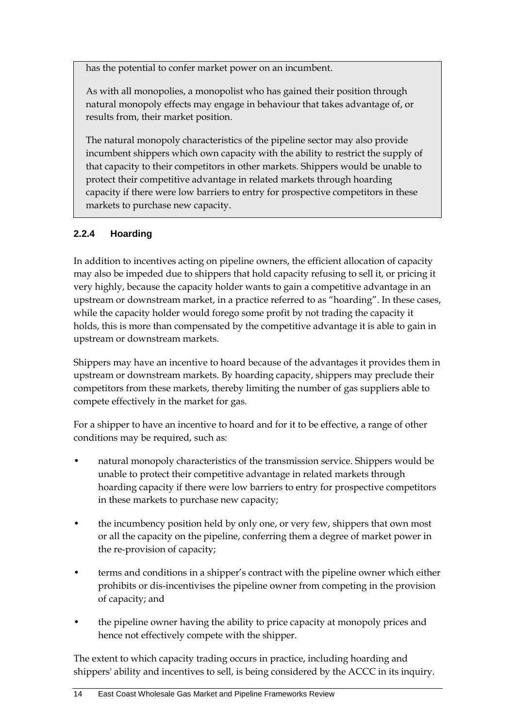has the potential to confer market power on an incumbent.

As with all monopolies, a monopolist who has gained their position through natural monopoly effects may engage in behaviour that takes advantage of, or results from, their market position.

The natural monopoly characteristics of the pipeline sector may also provide incumbent shippers which own capacity with the ability to restrict the supply of that capacity to their competitors in other markets. Shippers would be unable to protect their competitive advantage in related markets through hoarding capacity if there were low barriers to entry for prospective competitors in these markets to purchase new capacity.

## **2.2.4 Hoarding**

In addition to incentives acting on pipeline owners, the efficient allocation of capacity may also be impeded due to shippers that hold capacity refusing to sell it, or pricing it very highly, because the capacity holder wants to gain a competitive advantage in an upstream or downstream market, in a practice referred to as "hoarding". In these cases, while the capacity holder would forego some profit by not trading the capacity it holds, this is more than compensated by the competitive advantage it is able to gain in upstream or downstream markets.

Shippers may have an incentive to hoard because of the advantages it provides them in upstream or downstream markets. By hoarding capacity, shippers may preclude their competitors from these markets, thereby limiting the number of gas suppliers able to compete effectively in the market for gas.

For a shipper to have an incentive to hoard and for it to be effective, a range of other conditions may be required, such as:

- natural monopoly characteristics of the transmission service. Shippers would be unable to protect their competitive advantage in related markets through hoarding capacity if there were low barriers to entry for prospective competitors in these markets to purchase new capacity;
- the incumbency position held by only one, or very few, shippers that own most or all the capacity on the pipeline, conferring them a degree of market power in the re-provision of capacity;
- terms and conditions in a shipper's contract with the pipeline owner which either prohibits or dis-incentivises the pipeline owner from competing in the provision of capacity; and
- the pipeline owner having the ability to price capacity at monopoly prices and hence not effectively compete with the shipper.

The extent to which capacity trading occurs in practice, including hoarding and shippers' ability and incentives to sell, is being considered by the ACCC in its inquiry.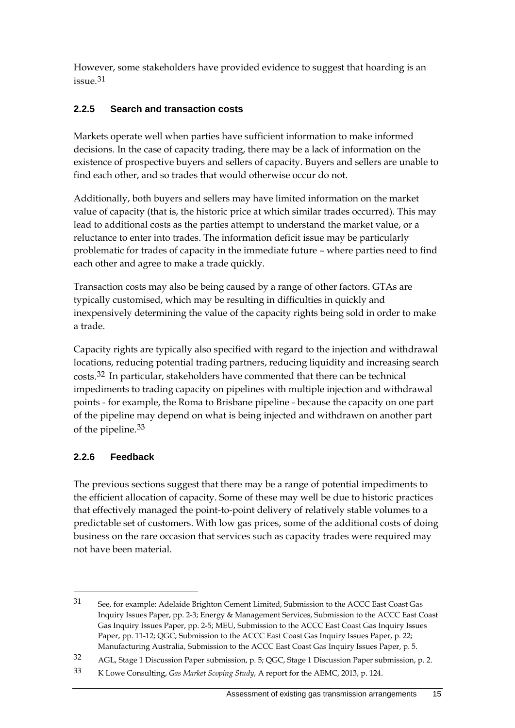However, some stakeholders have provided evidence to suggest that hoarding is an issue.[31](#page-22-0)

## **2.2.5 Search and transaction costs**

Markets operate well when parties have sufficient information to make informed decisions. In the case of capacity trading, there may be a lack of information on the existence of prospective buyers and sellers of capacity. Buyers and sellers are unable to find each other, and so trades that would otherwise occur do not.

Additionally, both buyers and sellers may have limited information on the market value of capacity (that is, the historic price at which similar trades occurred). This may lead to additional costs as the parties attempt to understand the market value, or a reluctance to enter into trades. The information deficit issue may be particularly problematic for trades of capacity in the immediate future – where parties need to find each other and agree to make a trade quickly.

Transaction costs may also be being caused by a range of other factors. GTAs are typically customised, which may be resulting in difficulties in quickly and inexpensively determining the value of the capacity rights being sold in order to make a trade.

Capacity rights are typically also specified with regard to the injection and withdrawal locations, reducing potential trading partners, reducing liquidity and increasing search costs.[32](#page-22-1) In particular, stakeholders have commented that there can be technical impediments to trading capacity on pipelines with multiple injection and withdrawal points - for example, the Roma to Brisbane pipeline - because the capacity on one part of the pipeline may depend on what is being injected and withdrawn on another part of the pipeline.[33](#page-22-2)

## **2.2.6 Feedback**

-

The previous sections suggest that there may be a range of potential impediments to the efficient allocation of capacity. Some of these may well be due to historic practices that effectively managed the point-to-point delivery of relatively stable volumes to a predictable set of customers. With low gas prices, some of the additional costs of doing business on the rare occasion that services such as capacity trades were required may not have been material.

<span id="page-22-0"></span><sup>31</sup> See, for example: Adelaide Brighton Cement Limited, Submission to the ACCC East Coast Gas Inquiry Issues Paper, pp. 2-3; Energy & Management Services, Submission to the ACCC East Coast Gas Inquiry Issues Paper, pp. 2-5; MEU, Submission to the ACCC East Coast Gas Inquiry Issues Paper, pp. 11-12; QGC; Submission to the ACCC East Coast Gas Inquiry Issues Paper, p. 22; Manufacturing Australia, Submission to the ACCC East Coast Gas Inquiry Issues Paper, p. 5.

<span id="page-22-1"></span><sup>32</sup> AGL, Stage 1 Discussion Paper submission, p. 5; QGC, Stage 1 Discussion Paper submission, p. 2.

<span id="page-22-2"></span><sup>33</sup> K Lowe Consulting, *Gas Market Scoping Study*, A report for the AEMC, 2013, p. 124.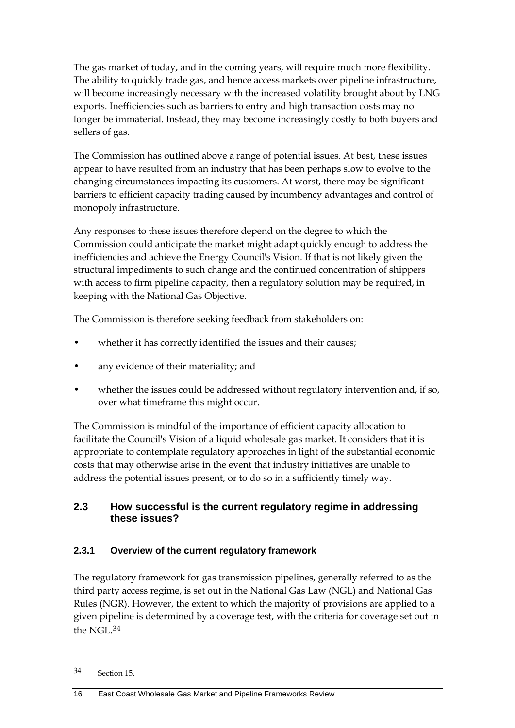The gas market of today, and in the coming years, will require much more flexibility. The ability to quickly trade gas, and hence access markets over pipeline infrastructure, will become increasingly necessary with the increased volatility brought about by LNG exports. Inefficiencies such as barriers to entry and high transaction costs may no longer be immaterial. Instead, they may become increasingly costly to both buyers and sellers of gas.

The Commission has outlined above a range of potential issues. At best, these issues appear to have resulted from an industry that has been perhaps slow to evolve to the changing circumstances impacting its customers. At worst, there may be significant barriers to efficient capacity trading caused by incumbency advantages and control of monopoly infrastructure.

Any responses to these issues therefore depend on the degree to which the Commission could anticipate the market might adapt quickly enough to address the inefficiencies and achieve the Energy Council's Vision. If that is not likely given the structural impediments to such change and the continued concentration of shippers with access to firm pipeline capacity, then a regulatory solution may be required, in keeping with the National Gas Objective.

The Commission is therefore seeking feedback from stakeholders on:

- whether it has correctly identified the issues and their causes;
- any evidence of their materiality; and
- whether the issues could be addressed without regulatory intervention and, if so, over what timeframe this might occur.

The Commission is mindful of the importance of efficient capacity allocation to facilitate the Council's Vision of a liquid wholesale gas market. It considers that it is appropriate to contemplate regulatory approaches in light of the substantial economic costs that may otherwise arise in the event that industry initiatives are unable to address the potential issues present, or to do so in a sufficiently timely way.

## <span id="page-23-0"></span>**2.3 How successful is the current regulatory regime in addressing these issues?**

## **2.3.1 Overview of the current regulatory framework**

The regulatory framework for gas transmission pipelines, generally referred to as the third party access regime, is set out in the National Gas Law (NGL) and National Gas Rules (NGR). However, the extent to which the majority of provisions are applied to a given pipeline is determined by a coverage test, with the criteria for coverage set out in the NGL.[34](#page-23-1)

<span id="page-23-1"></span><sup>34</sup> Section 15.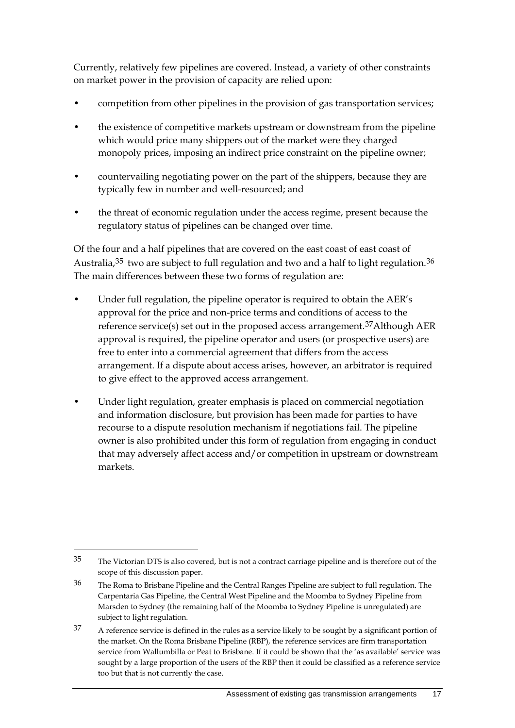Currently, relatively few pipelines are covered. Instead, a variety of other constraints on market power in the provision of capacity are relied upon:

- competition from other pipelines in the provision of gas transportation services;
- the existence of competitive markets upstream or downstream from the pipeline which would price many shippers out of the market were they charged monopoly prices, imposing an indirect price constraint on the pipeline owner;
- countervailing negotiating power on the part of the shippers, because they are typically few in number and well-resourced; and
- the threat of economic regulation under the access regime, present because the regulatory status of pipelines can be changed over time.

Of the four and a half pipelines that are covered on the east coast of east coast of Australia,  $35$  two are subject to full regulation and two and a half to light regulation.  $36$ The main differences between these two forms of regulation are:

- Under full regulation, the pipeline operator is required to obtain the AER's approval for the price and non-price terms and conditions of access to the reference service(s) set out in the proposed access arrangement.[37A](#page-24-2)lthough AER approval is required, the pipeline operator and users (or prospective users) are free to enter into a commercial agreement that differs from the access arrangement. If a dispute about access arises, however, an arbitrator is required to give effect to the approved access arrangement.
- Under light regulation, greater emphasis is placed on commercial negotiation and information disclosure, but provision has been made for parties to have recourse to a dispute resolution mechanism if negotiations fail. The pipeline owner is also prohibited under this form of regulation from engaging in conduct that may adversely affect access and/or competition in upstream or downstream markets.

<span id="page-24-0"></span><sup>35</sup> The Victorian DTS is also covered, but is not a contract carriage pipeline and is therefore out of the scope of this discussion paper.

<span id="page-24-1"></span><sup>36</sup> The Roma to Brisbane Pipeline and the Central Ranges Pipeline are subject to full regulation. The Carpentaria Gas Pipeline, the Central West Pipeline and the Moomba to Sydney Pipeline from Marsden to Sydney (the remaining half of the Moomba to Sydney Pipeline is unregulated) are subject to light regulation.

<span id="page-24-2"></span><sup>37</sup> A reference service is defined in the rules as a service likely to be sought by a significant portion of the market. On the Roma Brisbane Pipeline (RBP), the reference services are firm transportation service from Wallumbilla or Peat to Brisbane. If it could be shown that the 'as available' service was sought by a large proportion of the users of the RBP then it could be classified as a reference service too but that is not currently the case.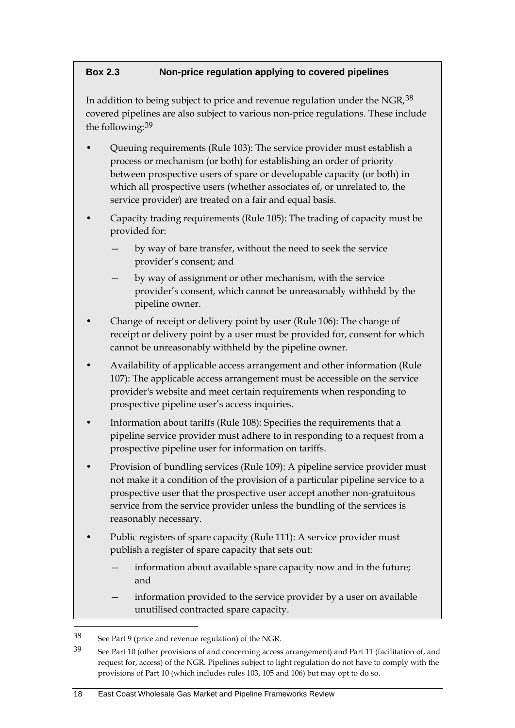### **Box 2.3 Non-price regulation applying to covered pipelines**

In addition to being subject to price and revenue regulation under the NGR, [38](#page-25-0) covered pipelines are also subject to various non-price regulations. These include the following:[39](#page-25-1)

- Queuing requirements (Rule 103): The service provider must establish a process or mechanism (or both) for establishing an order of priority between prospective users of spare or developable capacity (or both) in which all prospective users (whether associates of, or unrelated to, the service provider) are treated on a fair and equal basis.
- Capacity trading requirements (Rule 105): The trading of capacity must be provided for:
	- by way of bare transfer, without the need to seek the service provider's consent; and
	- by way of assignment or other mechanism, with the service provider's consent, which cannot be unreasonably withheld by the pipeline owner.
- Change of receipt or delivery point by user (Rule 106): The change of receipt or delivery point by a user must be provided for, consent for which cannot be unreasonably withheld by the pipeline owner.
- Availability of applicable access arrangement and other information (Rule 107): The applicable access arrangement must be accessible on the service provider's website and meet certain requirements when responding to prospective pipeline user's access inquiries.
- Information about tariffs (Rule 108): Specifies the requirements that a pipeline service provider must adhere to in responding to a request from a prospective pipeline user for information on tariffs.
- Provision of bundling services (Rule 109): A pipeline service provider must not make it a condition of the provision of a particular pipeline service to a prospective user that the prospective user accept another non-gratuitous service from the service provider unless the bundling of the services is reasonably necessary.
- Public registers of spare capacity (Rule 111): A service provider must publish a register of spare capacity that sets out:
	- information about available spare capacity now and in the future; and
	- information provided to the service provider by a user on available unutilised contracted spare capacity.

<span id="page-25-0"></span><sup>38</sup> See Part 9 (price and revenue regulation) of the NGR.

<span id="page-25-1"></span><sup>39</sup> See Part 10 (other provisions of and concerning access arrangement) and Part 11 (facilitation of, and request for, access) of the NGR. Pipelines subject to light regulation do not have to comply with the provisions of Part 10 (which includes rules 103, 105 and 106) but may opt to do so.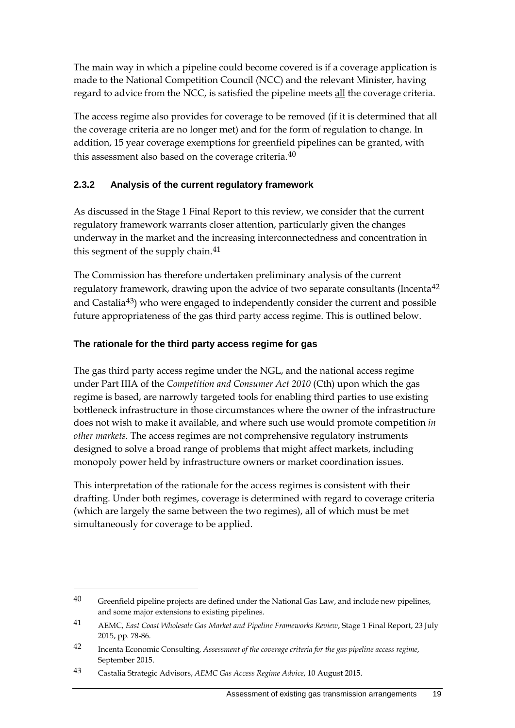The main way in which a pipeline could become covered is if a coverage application is made to the National Competition Council (NCC) and the relevant Minister, having regard to advice from the NCC, is satisfied the pipeline meets all the coverage criteria.

The access regime also provides for coverage to be removed (if it is determined that all the coverage criteria are no longer met) and for the form of regulation to change. In addition, 15 year coverage exemptions for greenfield pipelines can be granted, with this assessment also based on the coverage criteria. $40$ 

## **2.3.2 Analysis of the current regulatory framework**

As discussed in the Stage 1 Final Report to this review, we consider that the current regulatory framework warrants closer attention, particularly given the changes underway in the market and the increasing interconnectedness and concentration in this segment of the supply chain.<sup>[41](#page-26-1)</sup>

The Commission has therefore undertaken preliminary analysis of the current regulatory framework, drawing upon the advice of two separate consultants (Incenta<sup>[42](#page-26-2)</sup> and Castalia<sup>[43](#page-26-3)</sup>) who were engaged to independently consider the current and possible future appropriateness of the gas third party access regime. This is outlined below.

#### **The rationale for the third party access regime for gas**

The gas third party access regime under the NGL, and the national access regime under Part IIIA of the *Competition and Consumer Act 2010* (Cth) upon which the gas regime is based, are narrowly targeted tools for enabling third parties to use existing bottleneck infrastructure in those circumstances where the owner of the infrastructure does not wish to make it available, and where such use would promote competition *in other markets.* The access regimes are not comprehensive regulatory instruments designed to solve a broad range of problems that might affect markets, including monopoly power held by infrastructure owners or market coordination issues.

This interpretation of the rationale for the access regimes is consistent with their drafting. Under both regimes, coverage is determined with regard to coverage criteria (which are largely the same between the two regimes), all of which must be met simultaneously for coverage to be applied.

<span id="page-26-0"></span> $40$  Greenfield pipeline projects are defined under the National Gas Law, and include new pipelines, and some major extensions to existing pipelines.

<span id="page-26-1"></span><sup>41</sup> AEMC, *East Coast Wholesale Gas Market and Pipeline Frameworks Review*, Stage 1 Final Report, 23 July 2015, pp. 78-86.

<span id="page-26-2"></span><sup>42</sup> Incenta Economic Consulting, *Assessment of the coverage criteria for the gas pipeline access regime*, September 2015.

<span id="page-26-3"></span><sup>43</sup> Castalia Strategic Advisors, *AEMC Gas Access Regime Advice*, 10 August 2015.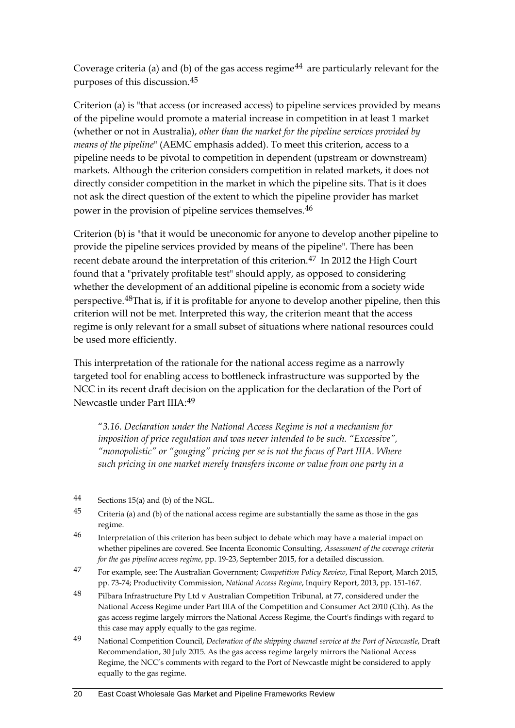Coverage criteria (a) and (b) of the gas access regime<sup>[44](#page-27-0)</sup> are particularly relevant for the purposes of this discussion.[45](#page-27-1)

Criterion (a) is "that access (or increased access) to pipeline services provided by means of the pipeline would promote a material increase in competition in at least 1 market (whether or not in Australia), *other than the market for the pipeline services provided by means of the pipeline*" (AEMC emphasis added). To meet this criterion, access to a pipeline needs to be pivotal to competition in dependent (upstream or downstream) markets. Although the criterion considers competition in related markets, it does not directly consider competition in the market in which the pipeline sits. That is it does not ask the direct question of the extent to which the pipeline provider has market power in the provision of pipeline services themselves.[46](#page-27-2)

Criterion (b) is "that it would be uneconomic for anyone to develop another pipeline to provide the pipeline services provided by means of the pipeline". There has been recent debate around the interpretation of this criterion.[47](#page-27-3) In 2012 the High Court found that a "privately profitable test" should apply, as opposed to considering whether the development of an additional pipeline is economic from a society wide perspective.[48](#page-27-4)That is, if it is profitable for anyone to develop another pipeline, then this criterion will not be met. Interpreted this way, the criterion meant that the access regime is only relevant for a small subset of situations where national resources could be used more efficiently.

This interpretation of the rationale for the national access regime as a narrowly targeted tool for enabling access to bottleneck infrastructure was supported by the NCC in its recent draft decision on the application for the declaration of the Port of Newcastle under Part IIIA:[49](#page-27-5)

"*3.16. Declaration under the National Access Regime is not a mechanism for imposition of price regulation and was never intended to be such. "Excessive", "monopolistic" or "gouging" pricing per se is not the focus of Part IIIA. Where such pricing in one market merely transfers income or value from one party in a* 

<span id="page-27-0"></span><sup>44</sup> Sections 15(a) and (b) of the NGL.

<span id="page-27-1"></span><sup>45</sup> Criteria (a) and (b) of the national access regime are substantially the same as those in the gas regime.

<span id="page-27-2"></span><sup>46</sup> Interpretation of this criterion has been subject to debate which may have a material impact on whether pipelines are covered. See Incenta Economic Consulting, *Assessment of the coverage criteria for the gas pipeline access regime*, pp. 19-23, September 2015, for a detailed discussion.

<span id="page-27-3"></span><sup>47</sup> For example, see: The Australian Government; *Competition Policy Review*, Final Report, March 2015, pp. 73-74; Productivity Commission, *National Access Regime*, Inquiry Report, 2013, pp. 151-167.

<span id="page-27-4"></span><sup>48</sup> Pilbara Infrastructure Pty Ltd v Australian Competition Tribunal, at 77, considered under the National Access Regime under Part IIIA of the Competition and Consumer Act 2010 (Cth). As the gas access regime largely mirrors the National Access Regime, the Court's findings with regard to this case may apply equally to the gas regime.

<span id="page-27-5"></span><sup>49</sup> National Competition Council, *Declaration of the shipping channel service at the Port of Newcastle*, Draft Recommendation, 30 July 2015. As the gas access regime largely mirrors the National Access Regime, the NCC's comments with regard to the Port of Newcastle might be considered to apply equally to the gas regime.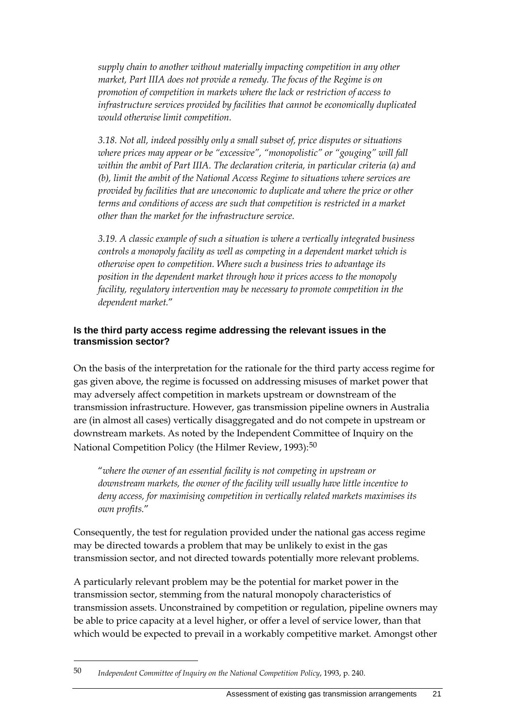*supply chain to another without materially impacting competition in any other market, Part IIIA does not provide a remedy. The focus of the Regime is on promotion of competition in markets where the lack or restriction of access to infrastructure services provided by facilities that cannot be economically duplicated would otherwise limit competition.*

*3.18. Not all, indeed possibly only a small subset of, price disputes or situations where prices may appear or be "excessive", "monopolistic" or "gouging" will fall within the ambit of Part IIIA. The declaration criteria, in particular criteria (a) and (b), limit the ambit of the National Access Regime to situations where services are provided by facilities that are uneconomic to duplicate and where the price or other terms and conditions of access are such that competition is restricted in a market other than the market for the infrastructure service.* 

*3.19. A classic example of such a situation is where a vertically integrated business controls a monopoly facility as well as competing in a dependent market which is otherwise open to competition. Where such a business tries to advantage its position in the dependent market through how it prices access to the monopoly facility, regulatory intervention may be necessary to promote competition in the dependent market.*"

#### **Is the third party access regime addressing the relevant issues in the transmission sector?**

On the basis of the interpretation for the rationale for the third party access regime for gas given above, the regime is focussed on addressing misuses of market power that may adversely affect competition in markets upstream or downstream of the transmission infrastructure. However, gas transmission pipeline owners in Australia are (in almost all cases) vertically disaggregated and do not compete in upstream or downstream markets. As noted by the Independent Committee of Inquiry on the National Competition Policy (the Hilmer Review, 1993):<sup>[50](#page-28-0)</sup>

"*where the owner of an essential facility is not competing in upstream or downstream markets, the owner of the facility will usually have little incentive to deny access, for maximising competition in vertically related markets maximises its own profits.*"

Consequently, the test for regulation provided under the national gas access regime may be directed towards a problem that may be unlikely to exist in the gas transmission sector, and not directed towards potentially more relevant problems.

A particularly relevant problem may be the potential for market power in the transmission sector, stemming from the natural monopoly characteristics of transmission assets. Unconstrained by competition or regulation, pipeline owners may be able to price capacity at a level higher, or offer a level of service lower, than that which would be expected to prevail in a workably competitive market. Amongst other

<span id="page-28-0"></span><sup>50</sup> *Independent Committee of Inquiry on the National Competition Policy*, 1993, p. 240.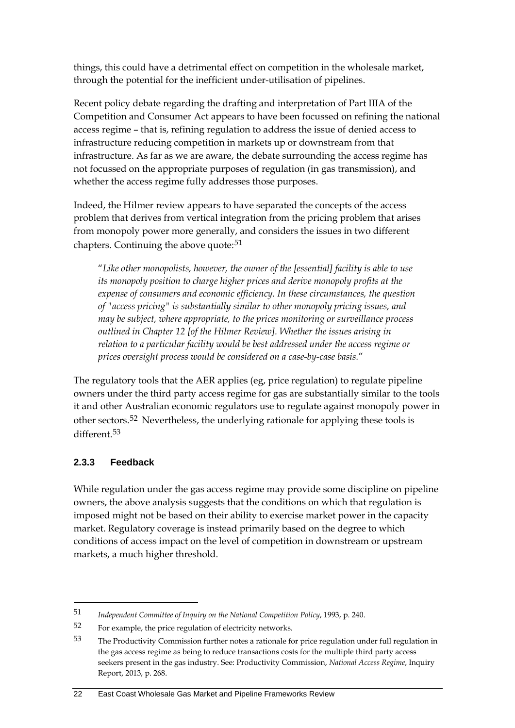things, this could have a detrimental effect on competition in the wholesale market, through the potential for the inefficient under-utilisation of pipelines.

Recent policy debate regarding the drafting and interpretation of Part IIIA of the Competition and Consumer Act appears to have been focussed on refining the national access regime – that is, refining regulation to address the issue of denied access to infrastructure reducing competition in markets up or downstream from that infrastructure. As far as we are aware, the debate surrounding the access regime has not focussed on the appropriate purposes of regulation (in gas transmission), and whether the access regime fully addresses those purposes.

Indeed, the Hilmer review appears to have separated the concepts of the access problem that derives from vertical integration from the pricing problem that arises from monopoly power more generally, and considers the issues in two different chapters. Continuing the above quote: $51$ 

"*Like other monopolists, however, the owner of the [essential] facility is able to use its monopoly position to charge higher prices and derive monopoly profits at the expense of consumers and economic efficiency. In these circumstances, the question of "access pricing" is substantially similar to other monopoly pricing issues, and may be subject, where appropriate, to the prices monitoring or surveillance process outlined in Chapter 12 [of the Hilmer Review]. Whether the issues arising in*  relation to a particular facility would be best addressed under the access regime or *prices oversight process would be considered on a case-by-case basis.*"

The regulatory tools that the AER applies (eg, price regulation) to regulate pipeline owners under the third party access regime for gas are substantially similar to the tools it and other Australian economic regulators use to regulate against monopoly power in other sectors.[52](#page-29-1) Nevertheless, the underlying rationale for applying these tools is different.[53](#page-29-2)

#### **2.3.3 Feedback**

-

While regulation under the gas access regime may provide some discipline on pipeline owners, the above analysis suggests that the conditions on which that regulation is imposed might not be based on their ability to exercise market power in the capacity market. Regulatory coverage is instead primarily based on the degree to which conditions of access impact on the level of competition in downstream or upstream markets, a much higher threshold.

<span id="page-29-0"></span><sup>51</sup> *Independent Committee of Inquiry on the National Competition Policy*, 1993, p. 240.

<span id="page-29-1"></span><sup>52</sup> For example, the price regulation of electricity networks.

<span id="page-29-2"></span><sup>53</sup> The Productivity Commission further notes a rationale for price regulation under full regulation in the gas access regime as being to reduce transactions costs for the multiple third party access seekers present in the gas industry. See: Productivity Commission, *National Access Regime*, Inquiry Report, 2013, p. 268.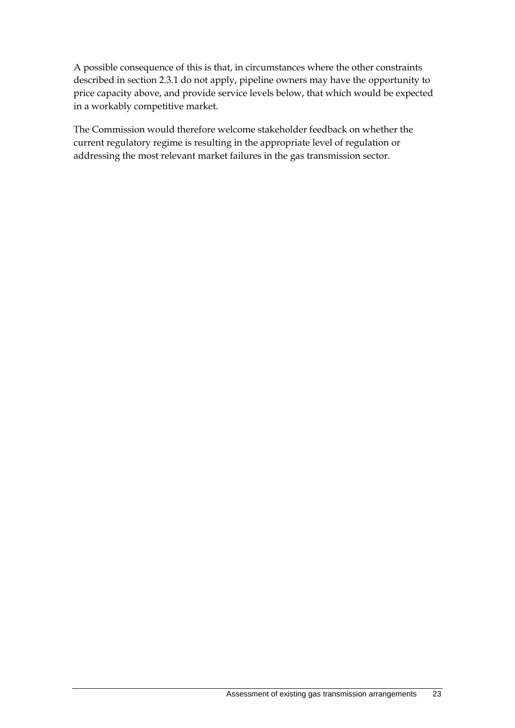A possible consequence of this is that, in circumstances where the other constraints described in section 2.3.1 do not apply, pipeline owners may have the opportunity to price capacity above, and provide service levels below, that which would be expected in a workably competitive market.

The Commission would therefore welcome stakeholder feedback on whether the current regulatory regime is resulting in the appropriate level of regulation or addressing the most relevant market failures in the gas transmission sector.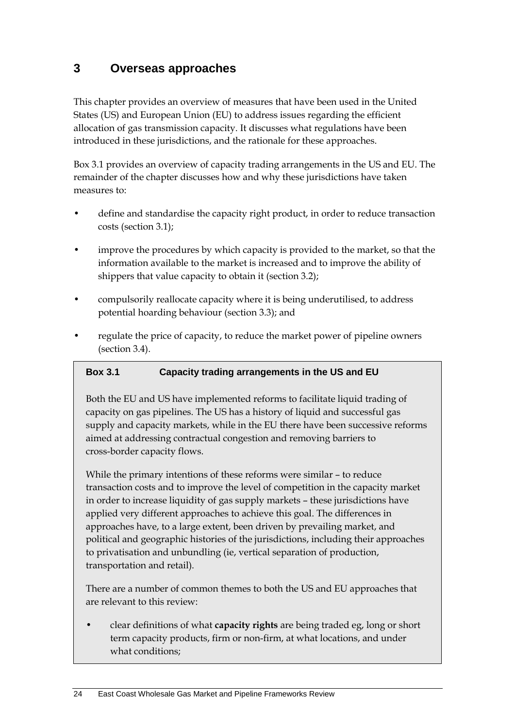## <span id="page-31-0"></span>**3 Overseas approaches**

This chapter provides an overview of measures that have been used in the United States (US) and European Union (EU) to address issues regarding the efficient allocation of gas transmission capacity. It discusses what regulations have been introduced in these jurisdictions, and the rationale for these approaches.

Box 3.1 provides an overview of capacity trading arrangements in the US and EU. The remainder of the chapter discusses how and why these jurisdictions have taken measures to:

- define and standardise the capacity right product, in order to reduce transaction costs (section [3.1\)](#page-32-0);
- improve the procedures by which capacity is provided to the market, so that the information available to the market is increased and to improve the ability of shippers that value capacity to obtain it (section [3.2\)](#page-34-0);
- compulsorily reallocate capacity where it is being underutilised, to address potential hoarding behaviour (section [3.3\)](#page-36-0); and
- regulate the price of capacity, to reduce the market power of pipeline owners (section [3.4\)](#page-37-0).

#### **Box 3.1 Capacity trading arrangements in the US and EU**

Both the EU and US have implemented reforms to facilitate liquid trading of capacity on gas pipelines. The US has a history of liquid and successful gas supply and capacity markets, while in the EU there have been successive reforms aimed at addressing contractual congestion and removing barriers to cross-border capacity flows.

While the primary intentions of these reforms were similar – to reduce transaction costs and to improve the level of competition in the capacity market in order to increase liquidity of gas supply markets – these jurisdictions have applied very different approaches to achieve this goal. The differences in approaches have, to a large extent, been driven by prevailing market, and political and geographic histories of the jurisdictions, including their approaches to privatisation and unbundling (ie, vertical separation of production, transportation and retail).

There are a number of common themes to both the US and EU approaches that are relevant to this review:

• clear definitions of what **capacity rights** are being traded eg, long or short term capacity products, firm or non-firm, at what locations, and under what conditions;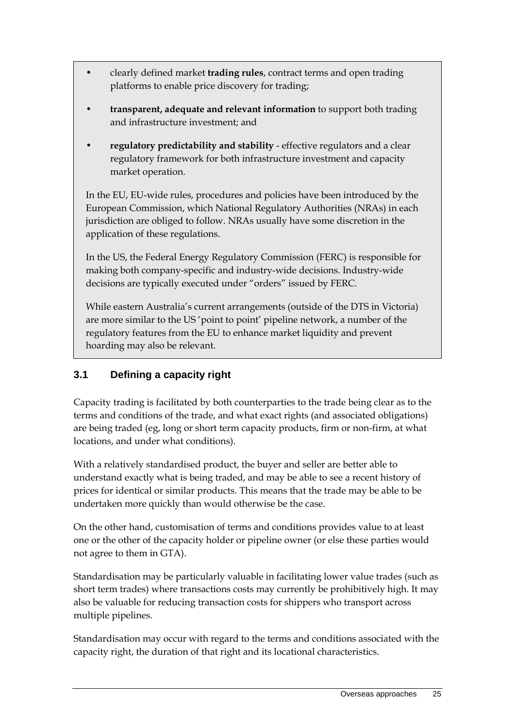- clearly defined market **trading rules**, contract terms and open trading platforms to enable price discovery for trading;
- **transparent, adequate and relevant information** to support both trading and infrastructure investment; and
- **regulatory predictability and stability** effective regulators and a clear regulatory framework for both infrastructure investment and capacity market operation.

In the EU, EU-wide rules, procedures and policies have been introduced by the European Commission, which National Regulatory Authorities (NRAs) in each jurisdiction are obliged to follow. NRAs usually have some discretion in the application of these regulations.

In the US, the Federal Energy Regulatory Commission (FERC) is responsible for making both company-specific and industry-wide decisions. Industry-wide decisions are typically executed under "orders" issued by FERC.

While eastern Australia's current arrangements (outside of the DTS in Victoria) are more similar to the US 'point to point' pipeline network, a number of the regulatory features from the EU to enhance market liquidity and prevent hoarding may also be relevant.

## <span id="page-32-0"></span>**3.1 Defining a capacity right**

Capacity trading is facilitated by both counterparties to the trade being clear as to the terms and conditions of the trade, and what exact rights (and associated obligations) are being traded (eg, long or short term capacity products, firm or non-firm, at what locations, and under what conditions).

With a relatively standardised product, the buyer and seller are better able to understand exactly what is being traded, and may be able to see a recent history of prices for identical or similar products. This means that the trade may be able to be undertaken more quickly than would otherwise be the case.

On the other hand, customisation of terms and conditions provides value to at least one or the other of the capacity holder or pipeline owner (or else these parties would not agree to them in GTA).

Standardisation may be particularly valuable in facilitating lower value trades (such as short term trades) where transactions costs may currently be prohibitively high. It may also be valuable for reducing transaction costs for shippers who transport across multiple pipelines.

Standardisation may occur with regard to the terms and conditions associated with the capacity right, the duration of that right and its locational characteristics.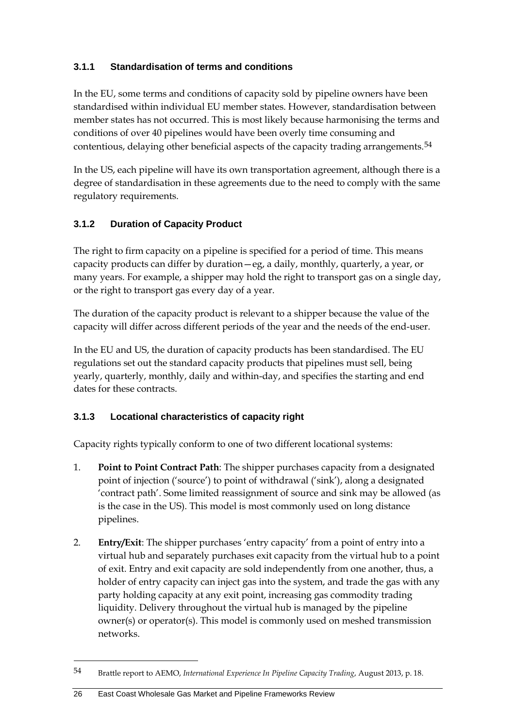## **3.1.1 Standardisation of terms and conditions**

In the EU, some terms and conditions of capacity sold by pipeline owners have been standardised within individual EU member states. However, standardisation between member states has not occurred. This is most likely because harmonising the terms and conditions of over 40 pipelines would have been overly time consuming and contentious, delaying other beneficial aspects of the capacity trading arrangements.<sup>[54](#page-33-0)</sup>

In the US, each pipeline will have its own transportation agreement, although there is a degree of standardisation in these agreements due to the need to comply with the same regulatory requirements.

## **3.1.2 Duration of Capacity Product**

The right to firm capacity on a pipeline is specified for a period of time. This means capacity products can differ by duration—eg, a daily, monthly, quarterly, a year, or many years. For example, a shipper may hold the right to transport gas on a single day, or the right to transport gas every day of a year.

The duration of the capacity product is relevant to a shipper because the value of the capacity will differ across different periods of the year and the needs of the end-user.

In the EU and US, the duration of capacity products has been standardised. The EU regulations set out the standard capacity products that pipelines must sell, being yearly, quarterly, monthly, daily and within-day, and specifies the starting and end dates for these contracts.

## **3.1.3 Locational characteristics of capacity right**

Capacity rights typically conform to one of two different locational systems:

- 1. **Point to Point Contract Path**: The shipper purchases capacity from a designated point of injection ('source') to point of withdrawal ('sink'), along a designated 'contract path'. Some limited reassignment of source and sink may be allowed (as is the case in the US). This model is most commonly used on long distance pipelines.
- 2. **Entry/Exit**: The shipper purchases 'entry capacity' from a point of entry into a virtual hub and separately purchases exit capacity from the virtual hub to a point of exit. Entry and exit capacity are sold independently from one another, thus, a holder of entry capacity can inject gas into the system, and trade the gas with any party holding capacity at any exit point, increasing gas commodity trading liquidity. Delivery throughout the virtual hub is managed by the pipeline owner(s) or operator(s). This model is commonly used on meshed transmission networks.

<span id="page-33-0"></span><sup>54</sup> Brattle report to AEMO, *International Experience In Pipeline Capacity Trading*, August 2013, p. 18.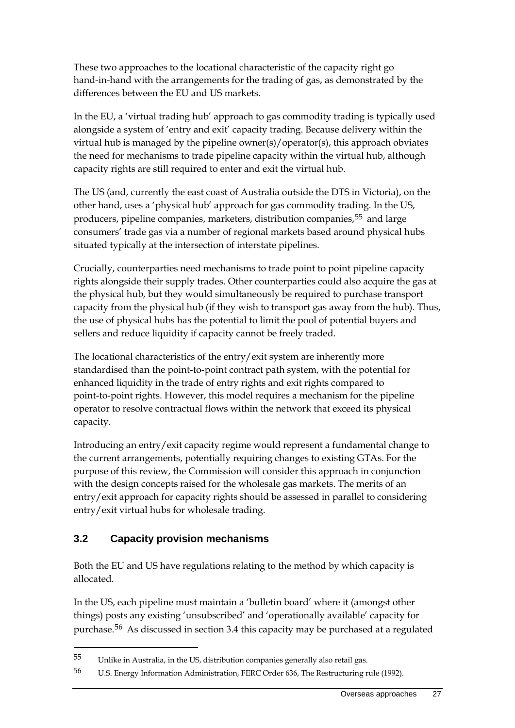These two approaches to the locational characteristic of the capacity right go hand-in-hand with the arrangements for the trading of gas, as demonstrated by the differences between the EU and US markets.

In the EU, a 'virtual trading hub' approach to gas commodity trading is typically used alongside a system of 'entry and exit' capacity trading. Because delivery within the virtual hub is managed by the pipeline owner(s)/operator(s), this approach obviates the need for mechanisms to trade pipeline capacity within the virtual hub, although capacity rights are still required to enter and exit the virtual hub.

The US (and, currently the east coast of Australia outside the DTS in Victoria), on the other hand, uses a 'physical hub' approach for gas commodity trading. In the US, producers, pipeline companies, marketers, distribution companies,<sup>[55](#page-34-1)</sup> and large consumers' trade gas via a number of regional markets based around physical hubs situated typically at the intersection of interstate pipelines.

Crucially, counterparties need mechanisms to trade point to point pipeline capacity rights alongside their supply trades. Other counterparties could also acquire the gas at the physical hub, but they would simultaneously be required to purchase transport capacity from the physical hub (if they wish to transport gas away from the hub). Thus, the use of physical hubs has the potential to limit the pool of potential buyers and sellers and reduce liquidity if capacity cannot be freely traded.

The locational characteristics of the entry/exit system are inherently more standardised than the point-to-point contract path system, with the potential for enhanced liquidity in the trade of entry rights and exit rights compared to point-to-point rights. However, this model requires a mechanism for the pipeline operator to resolve contractual flows within the network that exceed its physical capacity.

Introducing an entry/exit capacity regime would represent a fundamental change to the current arrangements, potentially requiring changes to existing GTAs. For the purpose of this review, the Commission will consider this approach in conjunction with the design concepts raised for the wholesale gas markets. The merits of an entry/exit approach for capacity rights should be assessed in parallel to considering entry/exit virtual hubs for wholesale trading.

## <span id="page-34-0"></span>**3.2 Capacity provision mechanisms**

-

Both the EU and US have regulations relating to the method by which capacity is allocated.

In the US, each pipeline must maintain a 'bulletin board' where it (amongst other things) posts any existing 'unsubscribed' and 'operationally available' capacity for purchase.[56](#page-34-2) As discussed in section [3.4](#page-37-0) this capacity may be purchased at a regulated

<span id="page-34-1"></span><sup>55</sup> Unlike in Australia, in the US, distribution companies generally also retail gas.

<span id="page-34-2"></span><sup>56</sup> U.S. Energy Information Administration, FERC Order 636, The Restructuring rule (1992).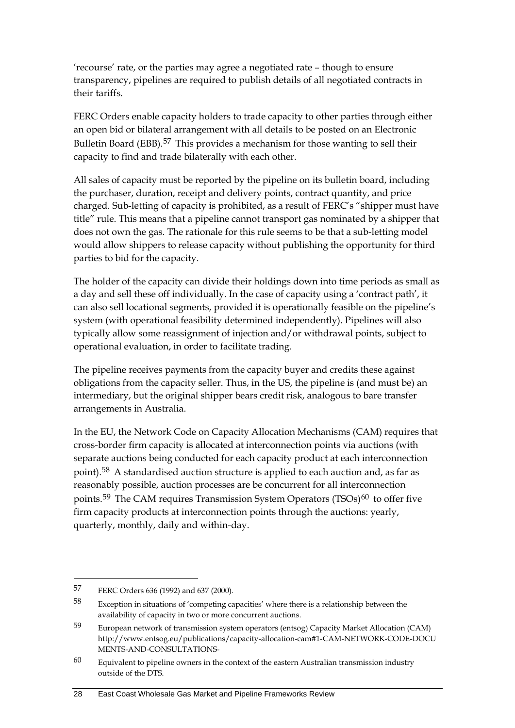'recourse' rate, or the parties may agree a negotiated rate – though to ensure transparency, pipelines are required to publish details of all negotiated contracts in their tariffs.

FERC Orders enable capacity holders to trade capacity to other parties through either an open bid or bilateral arrangement with all details to be posted on an Electronic Bulletin Board (EBB).<sup>[57](#page-35-0)</sup> This provides a mechanism for those wanting to sell their capacity to find and trade bilaterally with each other.

All sales of capacity must be reported by the pipeline on its bulletin board, including the purchaser, duration, receipt and delivery points, contract quantity, and price charged. Sub-letting of capacity is prohibited, as a result of FERC's "shipper must have title" rule. This means that a pipeline cannot transport gas nominated by a shipper that does not own the gas. The rationale for this rule seems to be that a sub-letting model would allow shippers to release capacity without publishing the opportunity for third parties to bid for the capacity.

The holder of the capacity can divide their holdings down into time periods as small as a day and sell these off individually. In the case of capacity using a 'contract path', it can also sell locational segments, provided it is operationally feasible on the pipeline's system (with operational feasibility determined independently). Pipelines will also typically allow some reassignment of injection and/or withdrawal points, subject to operational evaluation, in order to facilitate trading.

The pipeline receives payments from the capacity buyer and credits these against obligations from the capacity seller. Thus, in the US, the pipeline is (and must be) an intermediary, but the original shipper bears credit risk, analogous to bare transfer arrangements in Australia.

In the EU, the Network Code on Capacity Allocation Mechanisms (CAM) requires that cross-border firm capacity is allocated at interconnection points via auctions (with separate auctions being conducted for each capacity product at each interconnection point).<sup>[58](#page-35-1)</sup> A standardised auction structure is applied to each auction and, as far as reasonably possible, auction processes are be concurrent for all interconnection points.<sup>[59](#page-35-2)</sup> The CAM requires Transmission System Operators (TSOs)<sup>[60](#page-35-3)</sup> to offer five firm capacity products at interconnection points through the auctions: yearly, quarterly, monthly, daily and within-day.

<span id="page-35-0"></span><sup>57</sup> FERC Orders 636 (1992) and 637 (2000).

<span id="page-35-1"></span><sup>58</sup> Exception in situations of 'competing capacities' where there is a relationship between the availability of capacity in two or more concurrent auctions.

<span id="page-35-2"></span><sup>59</sup> European network of transmission system operators (entsog) Capacity Market Allocation (CAM) http://www.entsog.eu/publications/capacity-allocation-cam#1-CAM-NETWORK-CODE-DOCU MENTS-AND-CONSULTATIONS-

<span id="page-35-3"></span> $60$  Equivalent to pipeline owners in the context of the eastern Australian transmission industry outside of the DTS.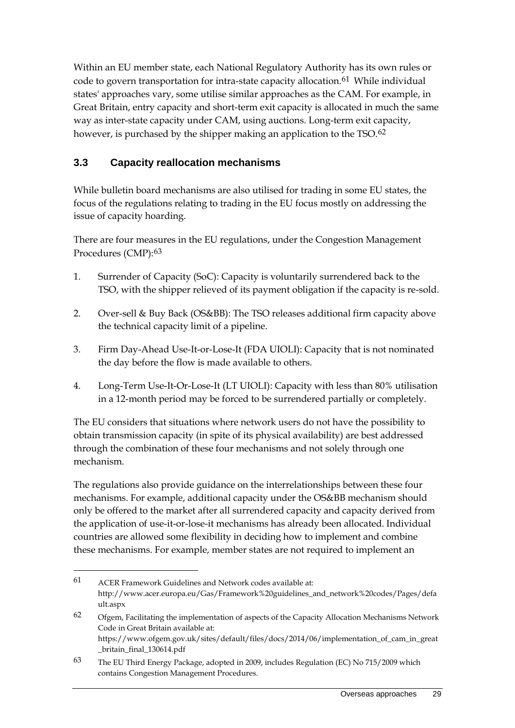Within an EU member state, each National Regulatory Authority has its own rules or code to govern transportation for intra-state capacity allocation.<sup>[61](#page-36-1)</sup> While individual states' approaches vary, some utilise similar approaches as the CAM. For example, in Great Britain, entry capacity and short-term exit capacity is allocated in much the same way as inter-state capacity under CAM, using auctions. Long-term exit capacity, however, is purchased by the shipper making an application to the TSO.<sup>[62](#page-36-2)</sup>

## <span id="page-36-0"></span>**3.3 Capacity reallocation mechanisms**

-

While bulletin board mechanisms are also utilised for trading in some EU states, the focus of the regulations relating to trading in the EU focus mostly on addressing the issue of capacity hoarding.

There are four measures in the EU regulations, under the Congestion Management Procedures (CMP):[63](#page-36-3)

- 1. Surrender of Capacity (SoC): Capacity is voluntarily surrendered back to the TSO, with the shipper relieved of its payment obligation if the capacity is re-sold.
- 2. Over-sell & Buy Back (OS&BB): The TSO releases additional firm capacity above the technical capacity limit of a pipeline.
- 3. Firm Day-Ahead Use-It-or-Lose-It (FDA UIOLI): Capacity that is not nominated the day before the flow is made available to others.
- 4. Long-Term Use-It-Or-Lose-It (LT UIOLI): Capacity with less than 80% utilisation in a 12-month period may be forced to be surrendered partially or completely.

The EU considers that situations where network users do not have the possibility to obtain transmission capacity (in spite of its physical availability) are best addressed through the combination of these four mechanisms and not solely through one mechanism.

The regulations also provide guidance on the interrelationships between these four mechanisms. For example, additional capacity under the OS&BB mechanism should only be offered to the market after all surrendered capacity and capacity derived from the application of use-it-or-lose-it mechanisms has already been allocated. Individual countries are allowed some flexibility in deciding how to implement and combine these mechanisms. For example, member states are not required to implement an

<span id="page-36-1"></span><sup>61</sup> ACER Framework Guidelines and Network codes available at: http://www.acer.europa.eu/Gas/Framework%20guidelines\_and\_network%20codes/Pages/defa ult.aspx

<span id="page-36-2"></span><sup>62</sup> Ofgem, Facilitating the implementation of aspects of the Capacity Allocation Mechanisms Network Code in Great Britain available at: https://www.ofgem.gov.uk/sites/default/files/docs/2014/06/implementation\_of\_cam\_in\_great \_britain\_final\_130614.pdf

<span id="page-36-3"></span><sup>63</sup> The EU Third Energy Package, adopted in 2009, includes Regulation (EC) No 715/2009 which contains Congestion Management Procedures.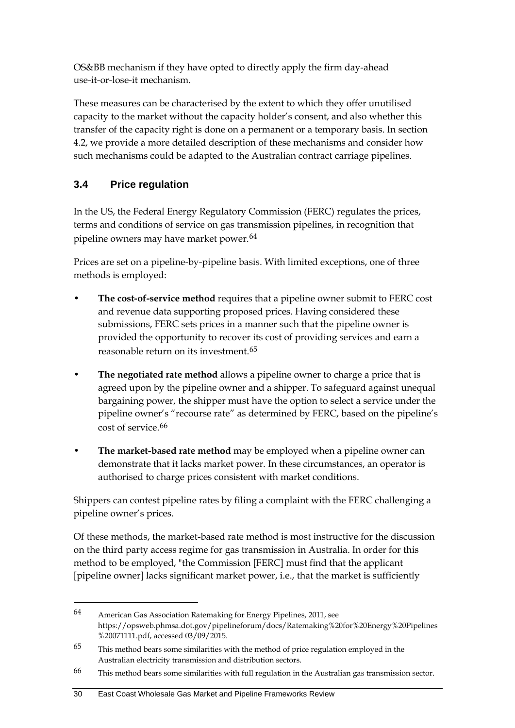OS&BB mechanism if they have opted to directly apply the firm day-ahead use-it-or-lose-it mechanism.

These measures can be characterised by the extent to which they offer unutilised capacity to the market without the capacity holder's consent, and also whether this transfer of the capacity right is done on a permanent or a temporary basis. In section [4.2,](#page-46-0) we provide a more detailed description of these mechanisms and consider how such mechanisms could be adapted to the Australian contract carriage pipelines.

## <span id="page-37-0"></span>**3.4 Price regulation**

-

In the US, the Federal Energy Regulatory Commission (FERC) regulates the prices, terms and conditions of service on gas transmission pipelines, in recognition that pipeline owners may have market power.<sup>[64](#page-37-1)</sup>

Prices are set on a pipeline-by-pipeline basis. With limited exceptions, one of three methods is employed:

- **The cost-of-service method** requires that a pipeline owner submit to FERC cost and revenue data supporting proposed prices. Having considered these submissions, FERC sets prices in a manner such that the pipeline owner is provided the opportunity to recover its cost of providing services and earn a reasonable return on its investment.[65](#page-37-2)
- **The negotiated rate method** allows a pipeline owner to charge a price that is agreed upon by the pipeline owner and a shipper. To safeguard against unequal bargaining power, the shipper must have the option to select a service under the pipeline owner's "recourse rate" as determined by FERC, based on the pipeline's cost of service.[66](#page-37-3)
- **The market-based rate method** may be employed when a pipeline owner can demonstrate that it lacks market power. In these circumstances, an operator is authorised to charge prices consistent with market conditions.

Shippers can contest pipeline rates by filing a complaint with the FERC challenging a pipeline owner's prices.

Of these methods, the market-based rate method is most instructive for the discussion on the third party access regime for gas transmission in Australia. In order for this method to be employed, "the Commission [FERC] must find that the applicant [pipeline owner] lacks significant market power, i.e., that the market is sufficiently

<span id="page-37-1"></span><sup>64</sup> American Gas Association Ratemaking for Energy Pipelines, 2011, see https://opsweb.phmsa.dot.gov/pipelineforum/docs/Ratemaking%20for%20Energy%20Pipelines %20071111.pdf, accessed 03/09/2015.

<span id="page-37-2"></span><sup>65</sup> This method bears some similarities with the method of price regulation employed in the Australian electricity transmission and distribution sectors.

<span id="page-37-3"></span><sup>66</sup> This method bears some similarities with full regulation in the Australian gas transmission sector.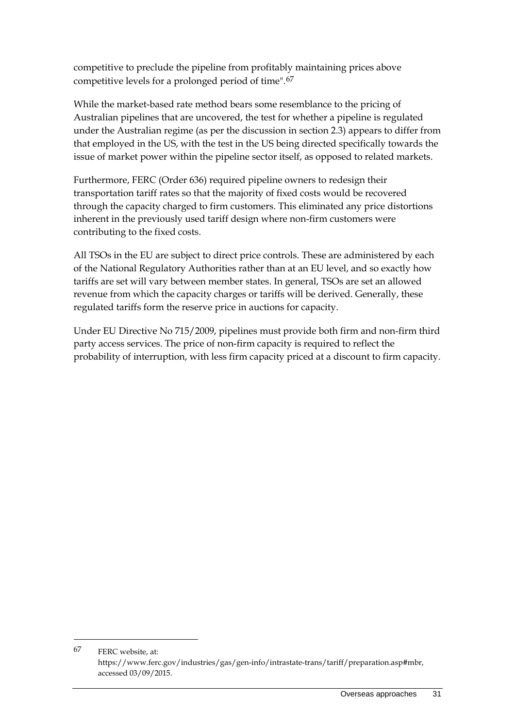competitive to preclude the pipeline from profitably maintaining prices above competitive levels for a prolonged period of time".[67](#page-38-0)

While the market-based rate method bears some resemblance to the pricing of Australian pipelines that are uncovered, the test for whether a pipeline is regulated under the Australian regime (as per the discussion in sectio[n 2.3\)](#page-23-0) appears to differ from that employed in the US, with the test in the US being directed specifically towards the issue of market power within the pipeline sector itself, as opposed to related markets.

Furthermore, FERC (Order 636) required pipeline owners to redesign their transportation tariff rates so that the majority of fixed costs would be recovered through the capacity charged to firm customers. This eliminated any price distortions inherent in the previously used tariff design where non-firm customers were contributing to the fixed costs.

All TSOs in the EU are subject to direct price controls. These are administered by each of the National Regulatory Authorities rather than at an EU level, and so exactly how tariffs are set will vary between member states. In general, TSOs are set an allowed revenue from which the capacity charges or tariffs will be derived. Generally, these regulated tariffs form the reserve price in auctions for capacity.

Under EU Directive No 715/2009, pipelines must provide both firm and non-firm third party access services. The price of non-firm capacity is required to reflect the probability of interruption, with less firm capacity priced at a discount to firm capacity.

<span id="page-38-0"></span><sup>67</sup> FERC website, at: https://www.ferc.gov/industries/gas/gen-info/intrastate-trans/tariff/preparation.asp#mbr, accessed 03/09/2015.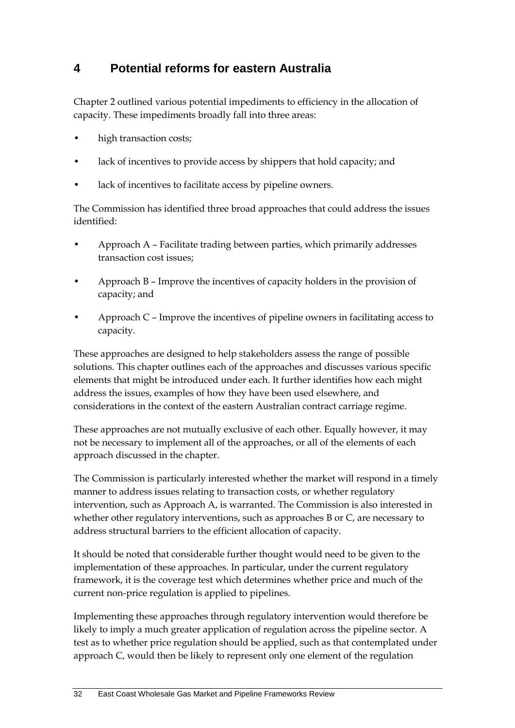## <span id="page-39-0"></span>**4 Potential reforms for eastern Australia**

Chapter [2](#page-13-0) outlined various potential impediments to efficiency in the allocation of capacity. These impediments broadly fall into three areas:

- high transaction costs;
- lack of incentives to provide access by shippers that hold capacity; and
- lack of incentives to facilitate access by pipeline owners.

The Commission has identified three broad approaches that could address the issues identified:

- Approach A Facilitate trading between parties, which primarily addresses transaction cost issues;
- Approach B Improve the incentives of capacity holders in the provision of capacity; and
- Approach C Improve the incentives of pipeline owners in facilitating access to capacity.

These approaches are designed to help stakeholders assess the range of possible solutions. This chapter outlines each of the approaches and discusses various specific elements that might be introduced under each. It further identifies how each might address the issues, examples of how they have been used elsewhere, and considerations in the context of the eastern Australian contract carriage regime.

These approaches are not mutually exclusive of each other. Equally however, it may not be necessary to implement all of the approaches, or all of the elements of each approach discussed in the chapter.

The Commission is particularly interested whether the market will respond in a timely manner to address issues relating to transaction costs, or whether regulatory intervention, such as Approach A, is warranted. The Commission is also interested in whether other regulatory interventions, such as approaches B or C, are necessary to address structural barriers to the efficient allocation of capacity.

It should be noted that considerable further thought would need to be given to the implementation of these approaches. In particular, under the current regulatory framework, it is the coverage test which determines whether price and much of the current non-price regulation is applied to pipelines.

Implementing these approaches through regulatory intervention would therefore be likely to imply a much greater application of regulation across the pipeline sector. A test as to whether price regulation should be applied, such as that contemplated under approach C, would then be likely to represent only one element of the regulation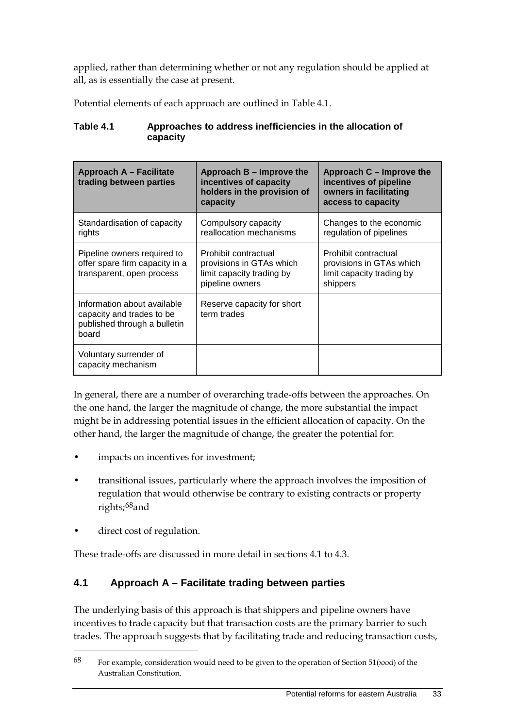applied, rather than determining whether or not any regulation should be applied at all, as is essentially the case at present.

Potential elements of each approach are outlined in Table 4.1.

| <b>Approach A - Facilitate</b><br>trading between parties                                         | Approach B - Improve the<br>incentives of capacity<br>holders in the provision of<br>capacity    | Approach C – Improve the<br>incentives of pipeline<br>owners in facilitating<br>access to capacity |
|---------------------------------------------------------------------------------------------------|--------------------------------------------------------------------------------------------------|----------------------------------------------------------------------------------------------------|
| Standardisation of capacity<br>rights                                                             | Compulsory capacity<br>reallocation mechanisms                                                   | Changes to the economic<br>regulation of pipelines                                                 |
| Pipeline owners required to<br>offer spare firm capacity in a<br>transparent, open process        | Prohibit contractual<br>provisions in GTAs which<br>limit capacity trading by<br>pipeline owners | Prohibit contractual<br>provisions in GTAs which<br>limit capacity trading by<br>shippers          |
| Information about available<br>capacity and trades to be<br>published through a bulletin<br>board | Reserve capacity for short<br>term trades                                                        |                                                                                                    |
| Voluntary surrender of<br>capacity mechanism                                                      |                                                                                                  |                                                                                                    |

#### **Table 4.1 Approaches to address inefficiencies in the allocation of capacity**

In general, there are a number of overarching trade-offs between the approaches. On the one hand, the larger the magnitude of change, the more substantial the impact might be in addressing potential issues in the efficient allocation of capacity. On the other hand, the larger the magnitude of change, the greater the potential for:

- impacts on incentives for investment;
- transitional issues, particularly where the approach involves the imposition of regulation that would otherwise be contrary to existing contracts or property rights;[68](#page-40-1)and
- direct cost of regulation.

-

These trade-offs are discussed in more detail in sections [4.1](#page-40-0) to [4.3.](#page-53-0)

## <span id="page-40-0"></span>**4.1 Approach A – Facilitate trading between parties**

The underlying basis of this approach is that shippers and pipeline owners have incentives to trade capacity but that transaction costs are the primary barrier to such trades. The approach suggests that by facilitating trade and reducing transaction costs,

<span id="page-40-1"></span> $68$  For example, consideration would need to be given to the operation of Section 51(xxxi) of the Australian Constitution.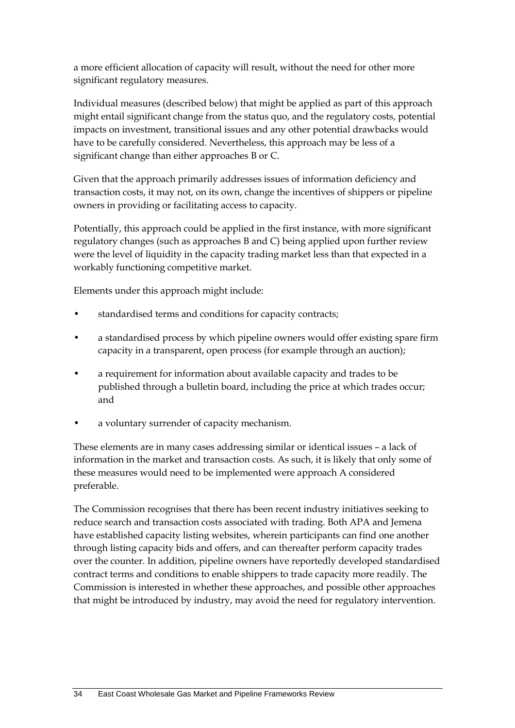a more efficient allocation of capacity will result, without the need for other more significant regulatory measures.

Individual measures (described below) that might be applied as part of this approach might entail significant change from the status quo, and the regulatory costs, potential impacts on investment, transitional issues and any other potential drawbacks would have to be carefully considered. Nevertheless, this approach may be less of a significant change than either approaches B or C.

Given that the approach primarily addresses issues of information deficiency and transaction costs, it may not, on its own, change the incentives of shippers or pipeline owners in providing or facilitating access to capacity.

Potentially, this approach could be applied in the first instance, with more significant regulatory changes (such as approaches B and C) being applied upon further review were the level of liquidity in the capacity trading market less than that expected in a workably functioning competitive market.

Elements under this approach might include:

- standardised terms and conditions for capacity contracts;
- a standardised process by which pipeline owners would offer existing spare firm capacity in a transparent, open process (for example through an auction);
- a requirement for information about available capacity and trades to be published through a bulletin board, including the price at which trades occur; and
- a voluntary surrender of capacity mechanism.

These elements are in many cases addressing similar or identical issues – a lack of information in the market and transaction costs. As such, it is likely that only some of these measures would need to be implemented were approach A considered preferable.

The Commission recognises that there has been recent industry initiatives seeking to reduce search and transaction costs associated with trading. Both APA and Jemena have established capacity listing websites, wherein participants can find one another through listing capacity bids and offers, and can thereafter perform capacity trades over the counter. In addition, pipeline owners have reportedly developed standardised contract terms and conditions to enable shippers to trade capacity more readily. The Commission is interested in whether these approaches, and possible other approaches that might be introduced by industry, may avoid the need for regulatory intervention.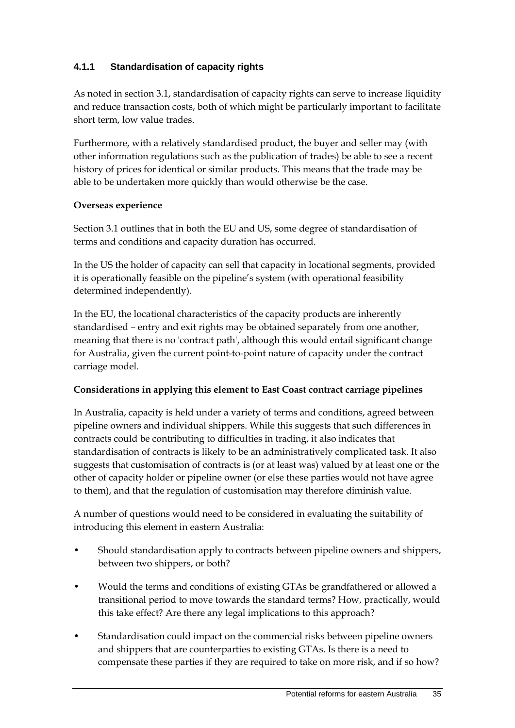### **4.1.1 Standardisation of capacity rights**

As noted in section [3.1,](#page-32-0) standardisation of capacity rights can serve to increase liquidity and reduce transaction costs, both of which might be particularly important to facilitate short term, low value trades.

Furthermore, with a relatively standardised product, the buyer and seller may (with other information regulations such as the publication of trades) be able to see a recent history of prices for identical or similar products. This means that the trade may be able to be undertaken more quickly than would otherwise be the case.

#### **Overseas experience**

Section [3.1](#page-32-0) outlines that in both the EU and US, some degree of standardisation of terms and conditions and capacity duration has occurred.

In the US the holder of capacity can sell that capacity in locational segments, provided it is operationally feasible on the pipeline's system (with operational feasibility determined independently).

In the EU, the locational characteristics of the capacity products are inherently standardised – entry and exit rights may be obtained separately from one another, meaning that there is no 'contract path', although this would entail significant change for Australia, given the current point-to-point nature of capacity under the contract carriage model.

#### **Considerations in applying this element to East Coast contract carriage pipelines**

In Australia, capacity is held under a variety of terms and conditions, agreed between pipeline owners and individual shippers. While this suggests that such differences in contracts could be contributing to difficulties in trading, it also indicates that standardisation of contracts is likely to be an administratively complicated task. It also suggests that customisation of contracts is (or at least was) valued by at least one or the other of capacity holder or pipeline owner (or else these parties would not have agree to them), and that the regulation of customisation may therefore diminish value.

A number of questions would need to be considered in evaluating the suitability of introducing this element in eastern Australia:

- Should standardisation apply to contracts between pipeline owners and shippers, between two shippers, or both?
- Would the terms and conditions of existing GTAs be grandfathered or allowed a transitional period to move towards the standard terms? How, practically, would this take effect? Are there any legal implications to this approach?
- Standardisation could impact on the commercial risks between pipeline owners and shippers that are counterparties to existing GTAs. Is there is a need to compensate these parties if they are required to take on more risk, and if so how?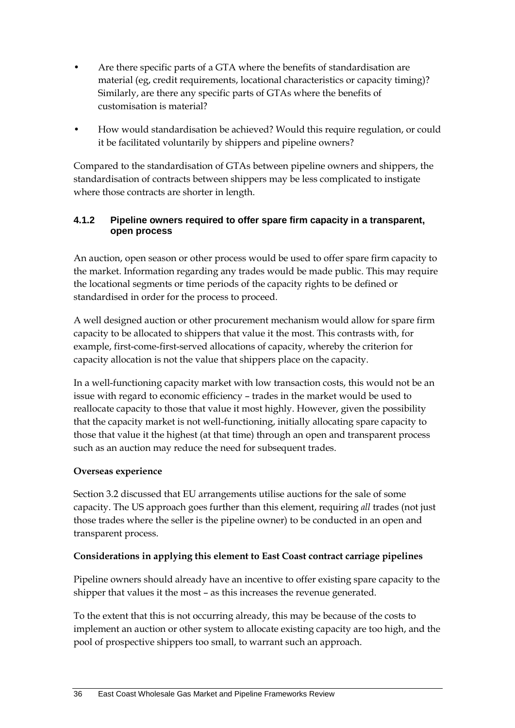- Are there specific parts of a GTA where the benefits of standardisation are material (eg, credit requirements, locational characteristics or capacity timing)? Similarly, are there any specific parts of GTAs where the benefits of customisation is material?
- How would standardisation be achieved? Would this require regulation, or could it be facilitated voluntarily by shippers and pipeline owners?

Compared to the standardisation of GTAs between pipeline owners and shippers, the standardisation of contracts between shippers may be less complicated to instigate where those contracts are shorter in length.

#### **4.1.2 Pipeline owners required to offer spare firm capacity in a transparent, open process**

An auction, open season or other process would be used to offer spare firm capacity to the market. Information regarding any trades would be made public. This may require the locational segments or time periods of the capacity rights to be defined or standardised in order for the process to proceed.

A well designed auction or other procurement mechanism would allow for spare firm capacity to be allocated to shippers that value it the most. This contrasts with, for example, first-come-first-served allocations of capacity, whereby the criterion for capacity allocation is not the value that shippers place on the capacity.

In a well-functioning capacity market with low transaction costs, this would not be an issue with regard to economic efficiency – trades in the market would be used to reallocate capacity to those that value it most highly. However, given the possibility that the capacity market is not well-functioning, initially allocating spare capacity to those that value it the highest (at that time) through an open and transparent process such as an auction may reduce the need for subsequent trades.

#### **Overseas experience**

Section [3.2](#page-34-0) discussed that EU arrangements utilise auctions for the sale of some capacity. The US approach goes further than this element, requiring *all* trades (not just those trades where the seller is the pipeline owner) to be conducted in an open and transparent process.

#### **Considerations in applying this element to East Coast contract carriage pipelines**

Pipeline owners should already have an incentive to offer existing spare capacity to the shipper that values it the most – as this increases the revenue generated.

To the extent that this is not occurring already, this may be because of the costs to implement an auction or other system to allocate existing capacity are too high, and the pool of prospective shippers too small, to warrant such an approach.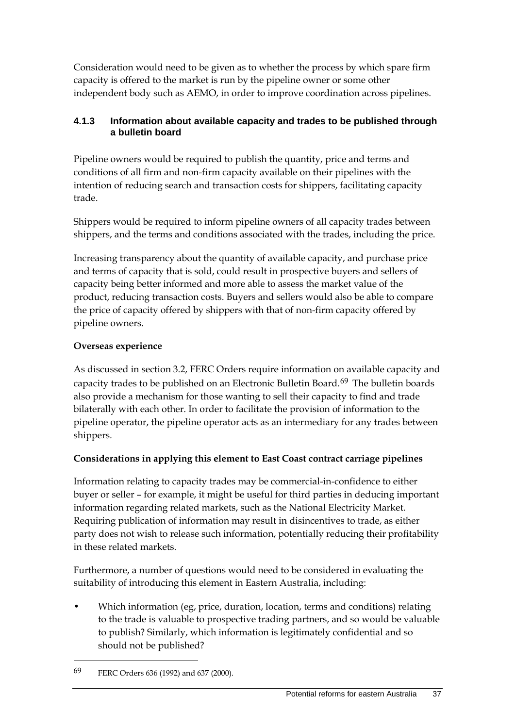Consideration would need to be given as to whether the process by which spare firm capacity is offered to the market is run by the pipeline owner or some other independent body such as AEMO, in order to improve coordination across pipelines.

### **4.1.3 Information about available capacity and trades to be published through a bulletin board**

Pipeline owners would be required to publish the quantity, price and terms and conditions of all firm and non-firm capacity available on their pipelines with the intention of reducing search and transaction costs for shippers, facilitating capacity trade.

Shippers would be required to inform pipeline owners of all capacity trades between shippers, and the terms and conditions associated with the trades, including the price.

Increasing transparency about the quantity of available capacity, and purchase price and terms of capacity that is sold, could result in prospective buyers and sellers of capacity being better informed and more able to assess the market value of the product, reducing transaction costs. Buyers and sellers would also be able to compare the price of capacity offered by shippers with that of non-firm capacity offered by pipeline owners.

## **Overseas experience**

As discussed in section [3.2,](#page-34-0) FERC Orders require information on available capacity and capacity trades to be published on an Electronic Bulletin Board.[69](#page-44-0) The bulletin boards also provide a mechanism for those wanting to sell their capacity to find and trade bilaterally with each other. In order to facilitate the provision of information to the pipeline operator, the pipeline operator acts as an intermediary for any trades between shippers.

#### **Considerations in applying this element to East Coast contract carriage pipelines**

Information relating to capacity trades may be commercial-in-confidence to either buyer or seller – for example, it might be useful for third parties in deducing important information regarding related markets, such as the National Electricity Market. Requiring publication of information may result in disincentives to trade, as either party does not wish to release such information, potentially reducing their profitability in these related markets.

Furthermore, a number of questions would need to be considered in evaluating the suitability of introducing this element in Eastern Australia, including:

• Which information (eg, price, duration, location, terms and conditions) relating to the trade is valuable to prospective trading partners, and so would be valuable to publish? Similarly, which information is legitimately confidential and so should not be published?

<span id="page-44-0"></span><sup>69</sup> FERC Orders 636 (1992) and 637 (2000).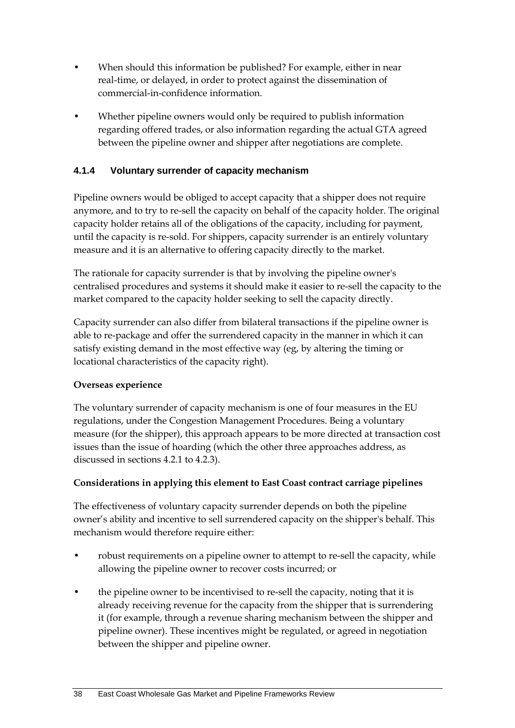- When should this information be published? For example, either in near real-time, or delayed, in order to protect against the dissemination of commercial-in-confidence information.
- Whether pipeline owners would only be required to publish information regarding offered trades, or also information regarding the actual GTA agreed between the pipeline owner and shipper after negotiations are complete.

### **4.1.4 Voluntary surrender of capacity mechanism**

Pipeline owners would be obliged to accept capacity that a shipper does not require anymore, and to try to re-sell the capacity on behalf of the capacity holder. The original capacity holder retains all of the obligations of the capacity, including for payment, until the capacity is re-sold. For shippers, capacity surrender is an entirely voluntary measure and it is an alternative to offering capacity directly to the market.

The rationale for capacity surrender is that by involving the pipeline owner's centralised procedures and systems it should make it easier to re-sell the capacity to the market compared to the capacity holder seeking to sell the capacity directly.

Capacity surrender can also differ from bilateral transactions if the pipeline owner is able to re-package and offer the surrendered capacity in the manner in which it can satisfy existing demand in the most effective way (eg, by altering the timing or locational characteristics of the capacity right).

#### **Overseas experience**

The voluntary surrender of capacity mechanism is one of four measures in the EU regulations, under the Congestion Management Procedures. Being a voluntary measure (for the shipper), this approach appears to be more directed at transaction cost issues than the issue of hoarding (which the other three approaches address, as discussed in sections 4.2.1 to 4.2.3).

#### **Considerations in applying this element to East Coast contract carriage pipelines**

The effectiveness of voluntary capacity surrender depends on both the pipeline owner's ability and incentive to sell surrendered capacity on the shipper's behalf. This mechanism would therefore require either:

- robust requirements on a pipeline owner to attempt to re-sell the capacity, while allowing the pipeline owner to recover costs incurred; or
- the pipeline owner to be incentivised to re-sell the capacity, noting that it is already receiving revenue for the capacity from the shipper that is surrendering it (for example, through a revenue sharing mechanism between the shipper and pipeline owner). These incentives might be regulated, or agreed in negotiation between the shipper and pipeline owner.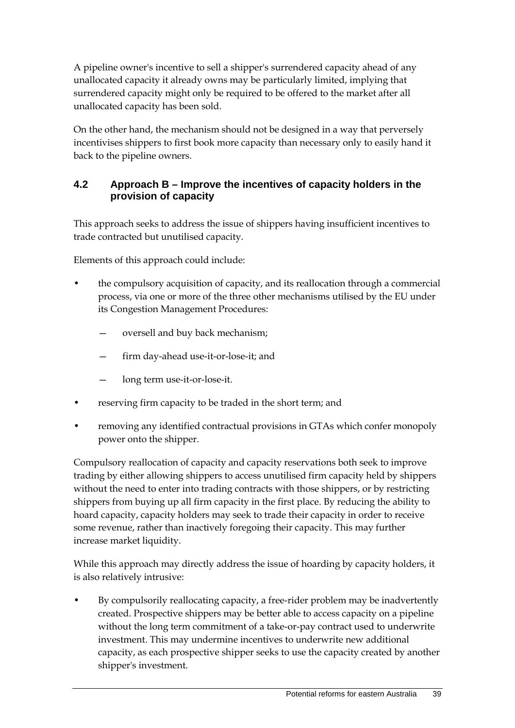A pipeline owner's incentive to sell a shipper's surrendered capacity ahead of any unallocated capacity it already owns may be particularly limited, implying that surrendered capacity might only be required to be offered to the market after all unallocated capacity has been sold.

On the other hand, the mechanism should not be designed in a way that perversely incentivises shippers to first book more capacity than necessary only to easily hand it back to the pipeline owners.

## <span id="page-46-0"></span>**4.2 Approach B – Improve the incentives of capacity holders in the provision of capacity**

This approach seeks to address the issue of shippers having insufficient incentives to trade contracted but unutilised capacity.

Elements of this approach could include:

- the compulsory acquisition of capacity, and its reallocation through a commercial process, via one or more of the three other mechanisms utilised by the EU under its Congestion Management Procedures:
	- oversell and buy back mechanism;
	- firm day-ahead use-it-or-lose-it; and
	- long term use-it-or-lose-it.
- reserving firm capacity to be traded in the short term; and
- removing any identified contractual provisions in GTAs which confer monopoly power onto the shipper.

Compulsory reallocation of capacity and capacity reservations both seek to improve trading by either allowing shippers to access unutilised firm capacity held by shippers without the need to enter into trading contracts with those shippers, or by restricting shippers from buying up all firm capacity in the first place. By reducing the ability to hoard capacity, capacity holders may seek to trade their capacity in order to receive some revenue, rather than inactively foregoing their capacity. This may further increase market liquidity.

While this approach may directly address the issue of hoarding by capacity holders, it is also relatively intrusive:

• By compulsorily reallocating capacity, a free-rider problem may be inadvertently created. Prospective shippers may be better able to access capacity on a pipeline without the long term commitment of a take-or-pay contract used to underwrite investment. This may undermine incentives to underwrite new additional capacity, as each prospective shipper seeks to use the capacity created by another shipper's investment.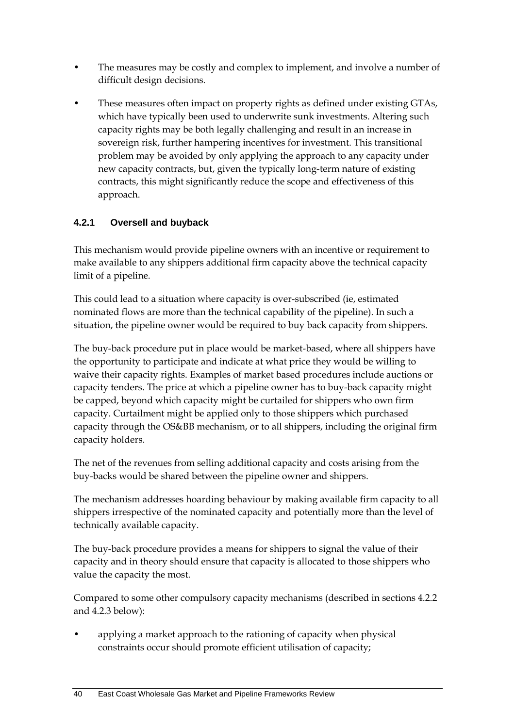- The measures may be costly and complex to implement, and involve a number of difficult design decisions.
- These measures often impact on property rights as defined under existing GTAs, which have typically been used to underwrite sunk investments. Altering such capacity rights may be both legally challenging and result in an increase in sovereign risk, further hampering incentives for investment. This transitional problem may be avoided by only applying the approach to any capacity under new capacity contracts, but, given the typically long-term nature of existing contracts, this might significantly reduce the scope and effectiveness of this approach.

## **4.2.1 Oversell and buyback**

This mechanism would provide pipeline owners with an incentive or requirement to make available to any shippers additional firm capacity above the technical capacity limit of a pipeline.

This could lead to a situation where capacity is over-subscribed (ie, estimated nominated flows are more than the technical capability of the pipeline). In such a situation, the pipeline owner would be required to buy back capacity from shippers.

The buy-back procedure put in place would be market-based, where all shippers have the opportunity to participate and indicate at what price they would be willing to waive their capacity rights. Examples of market based procedures include auctions or capacity tenders. The price at which a pipeline owner has to buy-back capacity might be capped, beyond which capacity might be curtailed for shippers who own firm capacity. Curtailment might be applied only to those shippers which purchased capacity through the OS&BB mechanism, or to all shippers, including the original firm capacity holders.

The net of the revenues from selling additional capacity and costs arising from the buy-backs would be shared between the pipeline owner and shippers.

The mechanism addresses hoarding behaviour by making available firm capacity to all shippers irrespective of the nominated capacity and potentially more than the level of technically available capacity.

The buy-back procedure provides a means for shippers to signal the value of their capacity and in theory should ensure that capacity is allocated to those shippers who value the capacity the most.

Compared to some other compulsory capacity mechanisms (described in sections 4.2.2 and 4.2.3 below):

• applying a market approach to the rationing of capacity when physical constraints occur should promote efficient utilisation of capacity;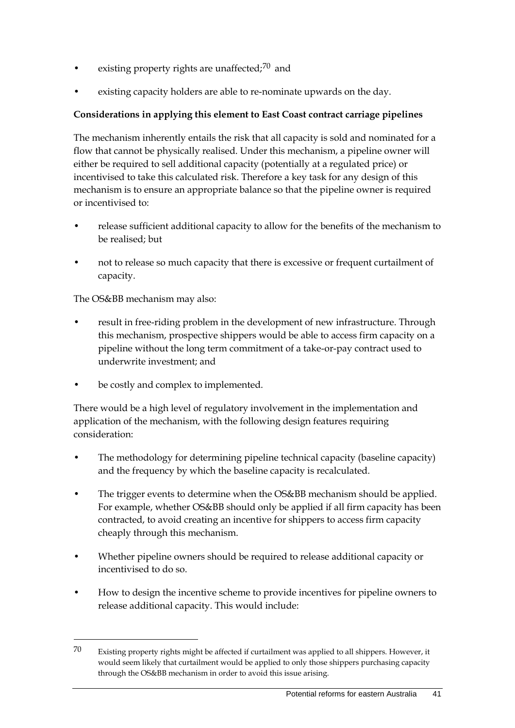- existing property rights are unaffected; $70$  and
- existing capacity holders are able to re-nominate upwards on the day.

### **Considerations in applying this element to East Coast contract carriage pipelines**

The mechanism inherently entails the risk that all capacity is sold and nominated for a flow that cannot be physically realised. Under this mechanism, a pipeline owner will either be required to sell additional capacity (potentially at a regulated price) or incentivised to take this calculated risk. Therefore a key task for any design of this mechanism is to ensure an appropriate balance so that the pipeline owner is required or incentivised to:

- release sufficient additional capacity to allow for the benefits of the mechanism to be realised; but
- not to release so much capacity that there is excessive or frequent curtailment of capacity.

The OS&BB mechanism may also:

-

- result in free-riding problem in the development of new infrastructure. Through this mechanism, prospective shippers would be able to access firm capacity on a pipeline without the long term commitment of a take-or-pay contract used to underwrite investment; and
- be costly and complex to implemented.

There would be a high level of regulatory involvement in the implementation and application of the mechanism, with the following design features requiring consideration:

- The methodology for determining pipeline technical capacity (baseline capacity) and the frequency by which the baseline capacity is recalculated.
- The trigger events to determine when the OS&BB mechanism should be applied. For example, whether OS&BB should only be applied if all firm capacity has been contracted, to avoid creating an incentive for shippers to access firm capacity cheaply through this mechanism.
- Whether pipeline owners should be required to release additional capacity or incentivised to do so.
- How to design the incentive scheme to provide incentives for pipeline owners to release additional capacity. This would include:

<span id="page-48-0"></span><sup>70</sup> Existing property rights might be affected if curtailment was applied to all shippers. However, it would seem likely that curtailment would be applied to only those shippers purchasing capacity through the OS&BB mechanism in order to avoid this issue arising.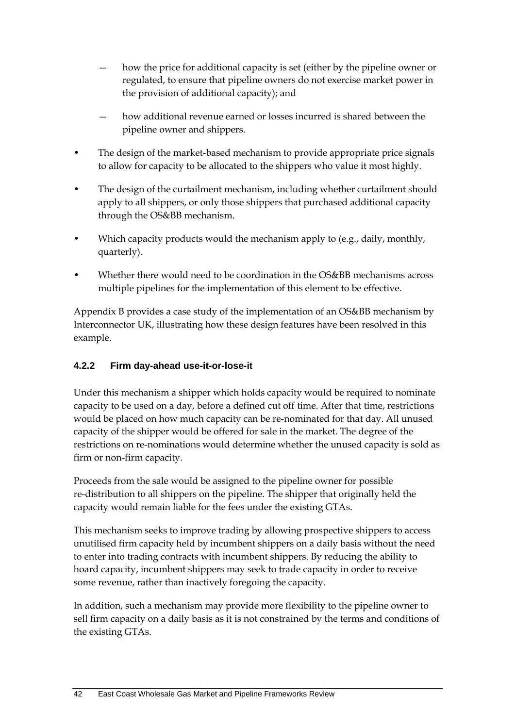- how the price for additional capacity is set (either by the pipeline owner or regulated, to ensure that pipeline owners do not exercise market power in the provision of additional capacity); and
- how additional revenue earned or losses incurred is shared between the pipeline owner and shippers.
- The design of the market-based mechanism to provide appropriate price signals to allow for capacity to be allocated to the shippers who value it most highly.
- The design of the curtailment mechanism, including whether curtailment should apply to all shippers, or only those shippers that purchased additional capacity through the OS&BB mechanism.
- Which capacity products would the mechanism apply to (e.g., daily, monthly, quarterly).
- Whether there would need to be coordination in the OS&BB mechanisms across multiple pipelines for the implementation of this element to be effective.

Appendix [B](#page-66-0) provides a case study of the implementation of an OS&BB mechanism by Interconnector UK, illustrating how these design features have been resolved in this example.

## **4.2.2 Firm day-ahead use-it-or-lose-it**

Under this mechanism a shipper which holds capacity would be required to nominate capacity to be used on a day, before a defined cut off time. After that time, restrictions would be placed on how much capacity can be re-nominated for that day. All unused capacity of the shipper would be offered for sale in the market. The degree of the restrictions on re-nominations would determine whether the unused capacity is sold as firm or non-firm capacity.

Proceeds from the sale would be assigned to the pipeline owner for possible re-distribution to all shippers on the pipeline. The shipper that originally held the capacity would remain liable for the fees under the existing GTAs.

This mechanism seeks to improve trading by allowing prospective shippers to access unutilised firm capacity held by incumbent shippers on a daily basis without the need to enter into trading contracts with incumbent shippers. By reducing the ability to hoard capacity, incumbent shippers may seek to trade capacity in order to receive some revenue, rather than inactively foregoing the capacity.

In addition, such a mechanism may provide more flexibility to the pipeline owner to sell firm capacity on a daily basis as it is not constrained by the terms and conditions of the existing GTAs.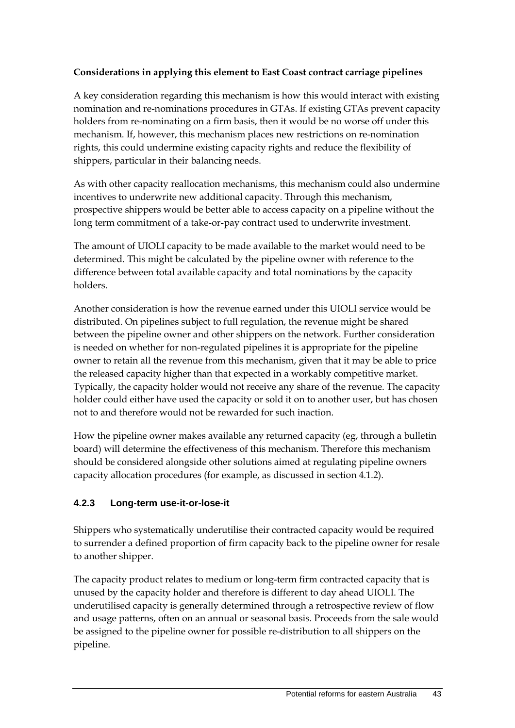#### **Considerations in applying this element to East Coast contract carriage pipelines**

A key consideration regarding this mechanism is how this would interact with existing nomination and re-nominations procedures in GTAs. If existing GTAs prevent capacity holders from re-nominating on a firm basis, then it would be no worse off under this mechanism. If, however, this mechanism places new restrictions on re-nomination rights, this could undermine existing capacity rights and reduce the flexibility of shippers, particular in their balancing needs.

As with other capacity reallocation mechanisms, this mechanism could also undermine incentives to underwrite new additional capacity. Through this mechanism, prospective shippers would be better able to access capacity on a pipeline without the long term commitment of a take-or-pay contract used to underwrite investment.

The amount of UIOLI capacity to be made available to the market would need to be determined. This might be calculated by the pipeline owner with reference to the difference between total available capacity and total nominations by the capacity holders.

Another consideration is how the revenue earned under this UIOLI service would be distributed. On pipelines subject to full regulation, the revenue might be shared between the pipeline owner and other shippers on the network. Further consideration is needed on whether for non-regulated pipelines it is appropriate for the pipeline owner to retain all the revenue from this mechanism, given that it may be able to price the released capacity higher than that expected in a workably competitive market. Typically, the capacity holder would not receive any share of the revenue. The capacity holder could either have used the capacity or sold it on to another user, but has chosen not to and therefore would not be rewarded for such inaction.

How the pipeline owner makes available any returned capacity (eg, through a bulletin board) will determine the effectiveness of this mechanism. Therefore this mechanism should be considered alongside other solutions aimed at regulating pipeline owners capacity allocation procedures (for example, as discussed in section 4.1.2).

#### **4.2.3 Long-term use-it-or-lose-it**

Shippers who systematically underutilise their contracted capacity would be required to surrender a defined proportion of firm capacity back to the pipeline owner for resale to another shipper.

The capacity product relates to medium or long-term firm contracted capacity that is unused by the capacity holder and therefore is different to day ahead UIOLI. The underutilised capacity is generally determined through a retrospective review of flow and usage patterns, often on an annual or seasonal basis. Proceeds from the sale would be assigned to the pipeline owner for possible re-distribution to all shippers on the pipeline.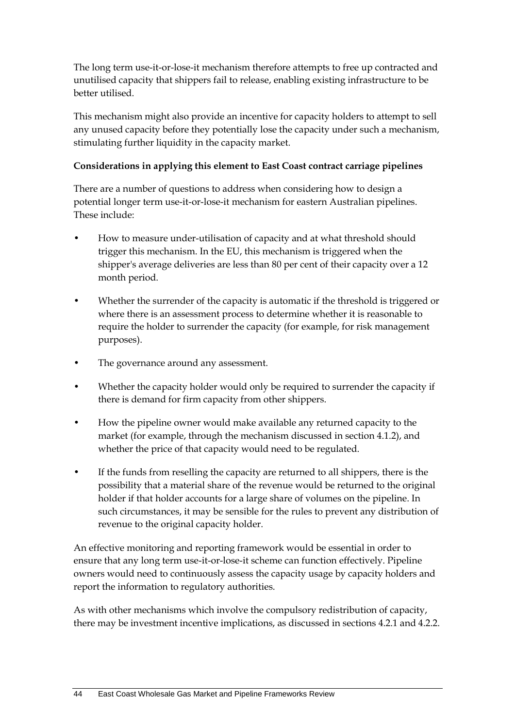The long term use-it-or-lose-it mechanism therefore attempts to free up contracted and unutilised capacity that shippers fail to release, enabling existing infrastructure to be better utilised.

This mechanism might also provide an incentive for capacity holders to attempt to sell any unused capacity before they potentially lose the capacity under such a mechanism, stimulating further liquidity in the capacity market.

### **Considerations in applying this element to East Coast contract carriage pipelines**

There are a number of questions to address when considering how to design a potential longer term use-it-or-lose-it mechanism for eastern Australian pipelines. These include:

- How to measure under-utilisation of capacity and at what threshold should trigger this mechanism. In the EU, this mechanism is triggered when the shipper's average deliveries are less than 80 per cent of their capacity over a 12 month period.
- Whether the surrender of the capacity is automatic if the threshold is triggered or where there is an assessment process to determine whether it is reasonable to require the holder to surrender the capacity (for example, for risk management purposes).
- The governance around any assessment.
- Whether the capacity holder would only be required to surrender the capacity if there is demand for firm capacity from other shippers.
- How the pipeline owner would make available any returned capacity to the market (for example, through the mechanism discussed in section 4.1.2), and whether the price of that capacity would need to be regulated.
- If the funds from reselling the capacity are returned to all shippers, there is the possibility that a material share of the revenue would be returned to the original holder if that holder accounts for a large share of volumes on the pipeline. In such circumstances, it may be sensible for the rules to prevent any distribution of revenue to the original capacity holder.

An effective monitoring and reporting framework would be essential in order to ensure that any long term use-it-or-lose-it scheme can function effectively. Pipeline owners would need to continuously assess the capacity usage by capacity holders and report the information to regulatory authorities.

As with other mechanisms which involve the compulsory redistribution of capacity, there may be investment incentive implications, as discussed in sections 4.2.1 and 4.2.2.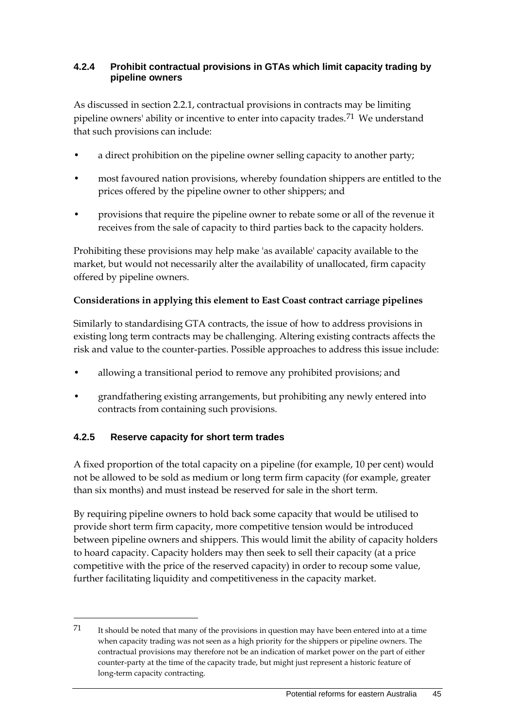#### **4.2.4 Prohibit contractual provisions in GTAs which limit capacity trading by pipeline owners**

As discussed in section 2.2.1, contractual provisions in contracts may be limiting pipeline owners' ability or incentive to enter into capacity trades.[71](#page-52-0) We understand that such provisions can include:

- a direct prohibition on the pipeline owner selling capacity to another party;
- most favoured nation provisions, whereby foundation shippers are entitled to the prices offered by the pipeline owner to other shippers; and
- provisions that require the pipeline owner to rebate some or all of the revenue it receives from the sale of capacity to third parties back to the capacity holders.

Prohibiting these provisions may help make 'as available' capacity available to the market, but would not necessarily alter the availability of unallocated, firm capacity offered by pipeline owners.

#### **Considerations in applying this element to East Coast contract carriage pipelines**

Similarly to standardising GTA contracts, the issue of how to address provisions in existing long term contracts may be challenging. Altering existing contracts affects the risk and value to the counter-parties. Possible approaches to address this issue include:

- allowing a transitional period to remove any prohibited provisions; and
- grandfathering existing arrangements, but prohibiting any newly entered into contracts from containing such provisions.

## **4.2.5 Reserve capacity for short term trades**

-

A fixed proportion of the total capacity on a pipeline (for example, 10 per cent) would not be allowed to be sold as medium or long term firm capacity (for example, greater than six months) and must instead be reserved for sale in the short term.

By requiring pipeline owners to hold back some capacity that would be utilised to provide short term firm capacity, more competitive tension would be introduced between pipeline owners and shippers. This would limit the ability of capacity holders to hoard capacity. Capacity holders may then seek to sell their capacity (at a price competitive with the price of the reserved capacity) in order to recoup some value, further facilitating liquidity and competitiveness in the capacity market.

<span id="page-52-0"></span><sup>71</sup> It should be noted that many of the provisions in question may have been entered into at a time when capacity trading was not seen as a high priority for the shippers or pipeline owners. The contractual provisions may therefore not be an indication of market power on the part of either counter-party at the time of the capacity trade, but might just represent a historic feature of long-term capacity contracting.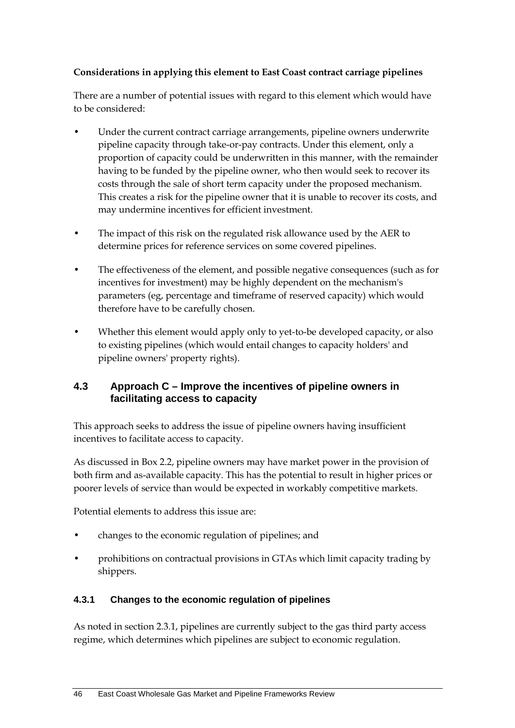#### **Considerations in applying this element to East Coast contract carriage pipelines**

There are a number of potential issues with regard to this element which would have to be considered:

- Under the current contract carriage arrangements, pipeline owners underwrite pipeline capacity through take-or-pay contracts. Under this element, only a proportion of capacity could be underwritten in this manner, with the remainder having to be funded by the pipeline owner, who then would seek to recover its costs through the sale of short term capacity under the proposed mechanism. This creates a risk for the pipeline owner that it is unable to recover its costs, and may undermine incentives for efficient investment.
- The impact of this risk on the regulated risk allowance used by the AER to determine prices for reference services on some covered pipelines.
- The effectiveness of the element, and possible negative consequences (such as for incentives for investment) may be highly dependent on the mechanism's parameters (eg, percentage and timeframe of reserved capacity) which would therefore have to be carefully chosen.
- Whether this element would apply only to yet-to-be developed capacity, or also to existing pipelines (which would entail changes to capacity holders' and pipeline owners' property rights).

#### <span id="page-53-0"></span>**4.3 Approach C – Improve the incentives of pipeline owners in facilitating access to capacity**

This approach seeks to address the issue of pipeline owners having insufficient incentives to facilitate access to capacity.

As discussed in Box 2.2, pipeline owners may have market power in the provision of both firm and as-available capacity. This has the potential to result in higher prices or poorer levels of service than would be expected in workably competitive markets.

Potential elements to address this issue are:

- changes to the economic regulation of pipelines; and
- prohibitions on contractual provisions in GTAs which limit capacity trading by shippers.

#### **4.3.1 Changes to the economic regulation of pipelines**

As noted in section 2.3.1, pipelines are currently subject to the gas third party access regime, which determines which pipelines are subject to economic regulation.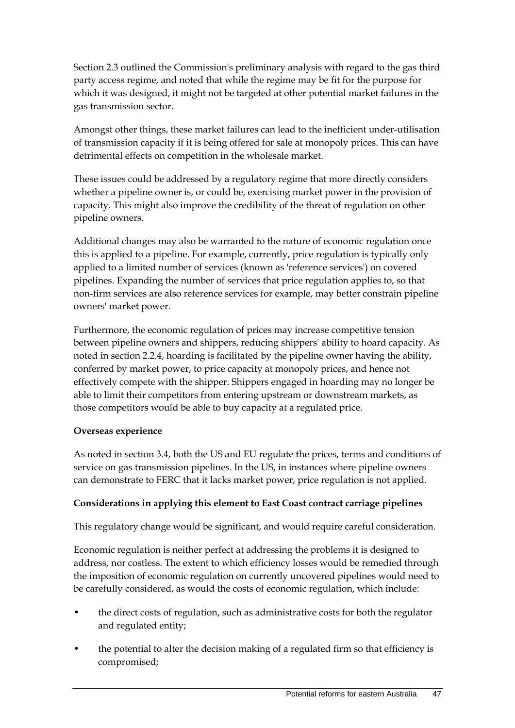Section [2.3](#page-23-0) outlined the Commission's preliminary analysis with regard to the gas third party access regime, and noted that while the regime may be fit for the purpose for which it was designed, it might not be targeted at other potential market failures in the gas transmission sector.

Amongst other things, these market failures can lead to the inefficient under-utilisation of transmission capacity if it is being offered for sale at monopoly prices. This can have detrimental effects on competition in the wholesale market.

These issues could be addressed by a regulatory regime that more directly considers whether a pipeline owner is, or could be, exercising market power in the provision of capacity. This might also improve the credibility of the threat of regulation on other pipeline owners.

Additional changes may also be warranted to the nature of economic regulation once this is applied to a pipeline. For example, currently, price regulation is typically only applied to a limited number of services (known as 'reference services') on covered pipelines. Expanding the number of services that price regulation applies to, so that non-firm services are also reference services for example, may better constrain pipeline owners' market power.

Furthermore, the economic regulation of prices may increase competitive tension between pipeline owners and shippers, reducing shippers' ability to hoard capacity. As noted in section 2.2.4, hoarding is facilitated by the pipeline owner having the ability, conferred by market power, to price capacity at monopoly prices, and hence not effectively compete with the shipper. Shippers engaged in hoarding may no longer be able to limit their competitors from entering upstream or downstream markets, as those competitors would be able to buy capacity at a regulated price.

#### **Overseas experience**

As noted in section [3.4,](#page-37-0) both the US and EU regulate the prices, terms and conditions of service on gas transmission pipelines. In the US, in instances where pipeline owners can demonstrate to FERC that it lacks market power, price regulation is not applied.

#### **Considerations in applying this element to East Coast contract carriage pipelines**

This regulatory change would be significant, and would require careful consideration.

Economic regulation is neither perfect at addressing the problems it is designed to address, nor costless. The extent to which efficiency losses would be remedied through the imposition of economic regulation on currently uncovered pipelines would need to be carefully considered, as would the costs of economic regulation, which include:

- the direct costs of regulation, such as administrative costs for both the regulator and regulated entity;
- the potential to alter the decision making of a regulated firm so that efficiency is compromised;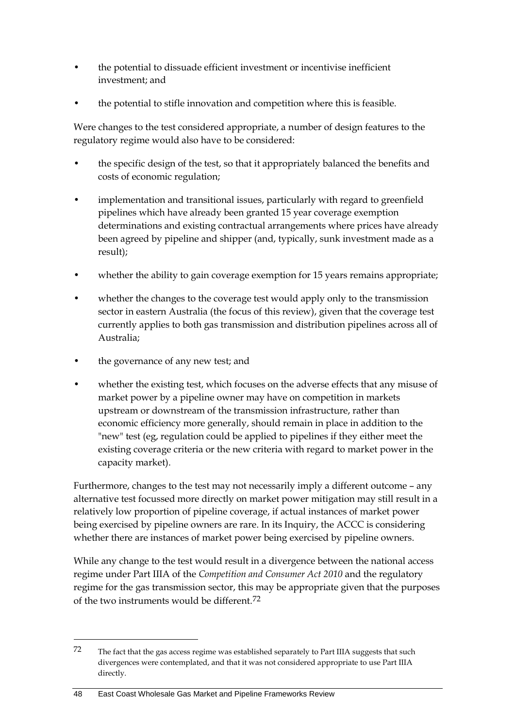- the potential to dissuade efficient investment or incentivise inefficient investment; and
- the potential to stifle innovation and competition where this is feasible.

Were changes to the test considered appropriate, a number of design features to the regulatory regime would also have to be considered:

- the specific design of the test, so that it appropriately balanced the benefits and costs of economic regulation;
- implementation and transitional issues, particularly with regard to greenfield pipelines which have already been granted 15 year coverage exemption determinations and existing contractual arrangements where prices have already been agreed by pipeline and shipper (and, typically, sunk investment made as a result);
- whether the ability to gain coverage exemption for 15 years remains appropriate;
- whether the changes to the coverage test would apply only to the transmission sector in eastern Australia (the focus of this review), given that the coverage test currently applies to both gas transmission and distribution pipelines across all of Australia;
- the governance of any new test; and
- whether the existing test, which focuses on the adverse effects that any misuse of market power by a pipeline owner may have on competition in markets upstream or downstream of the transmission infrastructure, rather than economic efficiency more generally, should remain in place in addition to the "new" test (eg, regulation could be applied to pipelines if they either meet the existing coverage criteria or the new criteria with regard to market power in the capacity market).

Furthermore, changes to the test may not necessarily imply a different outcome – any alternative test focussed more directly on market power mitigation may still result in a relatively low proportion of pipeline coverage, if actual instances of market power being exercised by pipeline owners are rare. In its Inquiry, the ACCC is considering whether there are instances of market power being exercised by pipeline owners.

While any change to the test would result in a divergence between the national access regime under Part IIIA of the *Competition and Consumer Act 2010* and the regulatory regime for the gas transmission sector, this may be appropriate given that the purposes of the two instruments would be different.[72](#page-55-0)

<span id="page-55-0"></span><sup>72</sup> The fact that the gas access regime was established separately to Part IIIA suggests that such divergences were contemplated, and that it was not considered appropriate to use Part IIIA directly.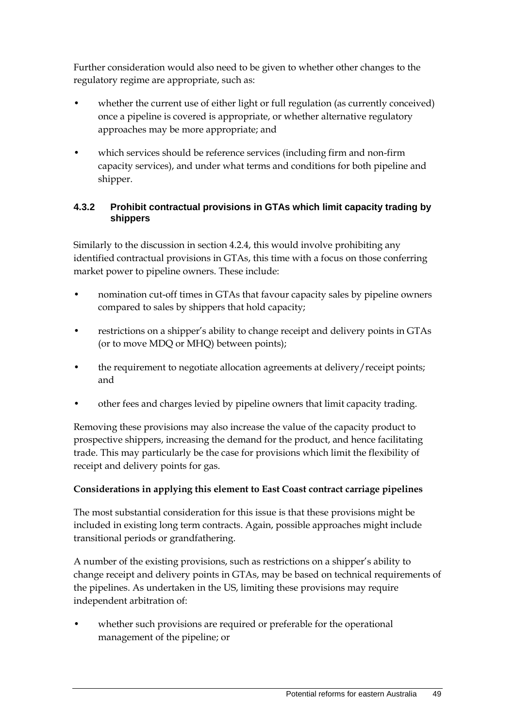Further consideration would also need to be given to whether other changes to the regulatory regime are appropriate, such as:

- whether the current use of either light or full regulation (as currently conceived) once a pipeline is covered is appropriate, or whether alternative regulatory approaches may be more appropriate; and
- which services should be reference services (including firm and non-firm capacity services), and under what terms and conditions for both pipeline and shipper.

#### **4.3.2 Prohibit contractual provisions in GTAs which limit capacity trading by shippers**

Similarly to the discussion in section 4.2.4, this would involve prohibiting any identified contractual provisions in GTAs, this time with a focus on those conferring market power to pipeline owners. These include:

- nomination cut-off times in GTAs that favour capacity sales by pipeline owners compared to sales by shippers that hold capacity;
- restrictions on a shipper's ability to change receipt and delivery points in GTAs (or to move MDQ or MHQ) between points);
- the requirement to negotiate allocation agreements at delivery/receipt points; and
- other fees and charges levied by pipeline owners that limit capacity trading.

Removing these provisions may also increase the value of the capacity product to prospective shippers, increasing the demand for the product, and hence facilitating trade. This may particularly be the case for provisions which limit the flexibility of receipt and delivery points for gas.

#### **Considerations in applying this element to East Coast contract carriage pipelines**

The most substantial consideration for this issue is that these provisions might be included in existing long term contracts. Again, possible approaches might include transitional periods or grandfathering.

A number of the existing provisions, such as restrictions on a shipper's ability to change receipt and delivery points in GTAs, may be based on technical requirements of the pipelines. As undertaken in the US, limiting these provisions may require independent arbitration of:

whether such provisions are required or preferable for the operational management of the pipeline; or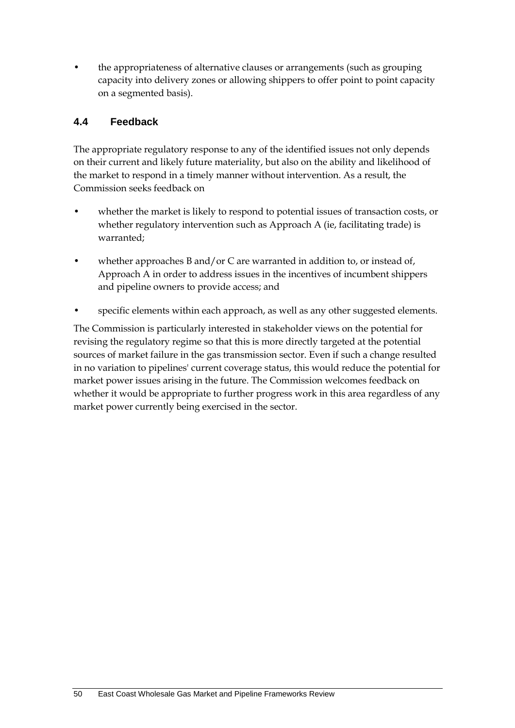• the appropriateness of alternative clauses or arrangements (such as grouping capacity into delivery zones or allowing shippers to offer point to point capacity on a segmented basis).

## <span id="page-57-0"></span>**4.4 Feedback**

The appropriate regulatory response to any of the identified issues not only depends on their current and likely future materiality, but also on the ability and likelihood of the market to respond in a timely manner without intervention. As a result, the Commission seeks feedback on

- whether the market is likely to respond to potential issues of transaction costs, or whether regulatory intervention such as Approach A (ie, facilitating trade) is warranted;
- whether approaches B and/or C are warranted in addition to, or instead of, Approach A in order to address issues in the incentives of incumbent shippers and pipeline owners to provide access; and
- specific elements within each approach, as well as any other suggested elements.

The Commission is particularly interested in stakeholder views on the potential for revising the regulatory regime so that this is more directly targeted at the potential sources of market failure in the gas transmission sector. Even if such a change resulted in no variation to pipelines' current coverage status, this would reduce the potential for market power issues arising in the future. The Commission welcomes feedback on whether it would be appropriate to further progress work in this area regardless of any market power currently being exercised in the sector.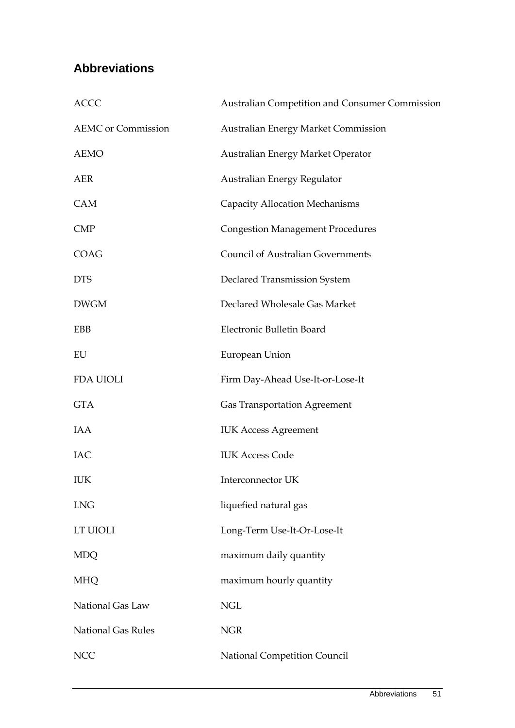## <span id="page-58-0"></span>**Abbreviations**

| <b>ACCC</b>               | Australian Competition and Consumer Commission |
|---------------------------|------------------------------------------------|
| <b>AEMC</b> or Commission | <b>Australian Energy Market Commission</b>     |
| <b>AEMO</b>               | Australian Energy Market Operator              |
| <b>AER</b>                | Australian Energy Regulator                    |
| CAM                       | <b>Capacity Allocation Mechanisms</b>          |
| <b>CMP</b>                | <b>Congestion Management Procedures</b>        |
| COAG                      | <b>Council of Australian Governments</b>       |
| <b>DTS</b>                | <b>Declared Transmission System</b>            |
| <b>DWGM</b>               | Declared Wholesale Gas Market                  |
| EBB                       | Electronic Bulletin Board                      |
| EU                        | European Union                                 |
| FDA UIOLI                 | Firm Day-Ahead Use-It-or-Lose-It               |
| <b>GTA</b>                | <b>Gas Transportation Agreement</b>            |
| IAA                       | <b>IUK Access Agreement</b>                    |
| <b>IAC</b>                | <b>IUK Access Code</b>                         |
| IUK                       | Interconnector UK                              |
| <b>LNG</b>                | liquefied natural gas                          |
| LT UIOLI                  | Long-Term Use-It-Or-Lose-It                    |
| <b>MDQ</b>                | maximum daily quantity                         |
| <b>MHQ</b>                | maximum hourly quantity                        |
| National Gas Law          | <b>NGL</b>                                     |
| <b>National Gas Rules</b> | <b>NGR</b>                                     |
| <b>NCC</b>                | National Competition Council                   |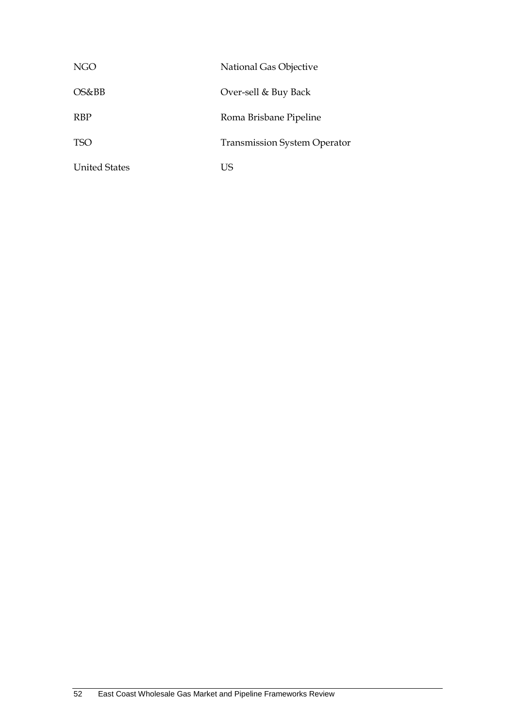| NGO                  | National Gas Objective              |
|----------------------|-------------------------------------|
| OS&BB                | Over-sell & Buy Back                |
| <b>RBP</b>           | Roma Brisbane Pipeline              |
| TSO                  | <b>Transmission System Operator</b> |
| <b>United States</b> | i is                                |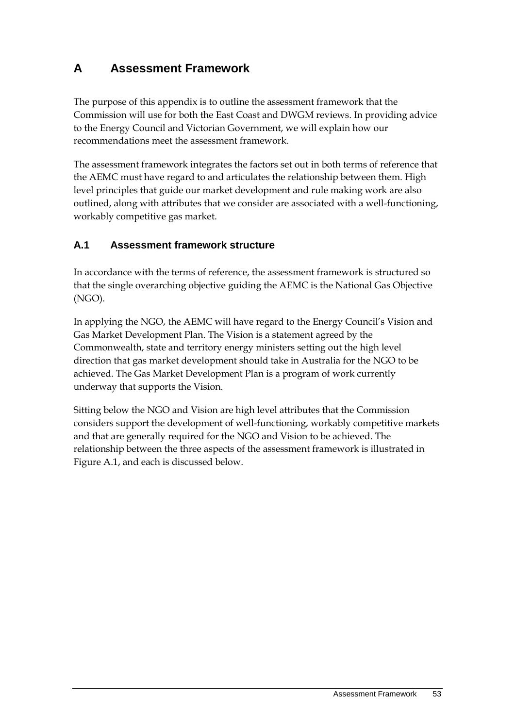# <span id="page-60-0"></span>**A Assessment Framework**

The purpose of this appendix is to outline the assessment framework that the Commission will use for both the East Coast and DWGM reviews. In providing advice to the Energy Council and Victorian Government, we will explain how our recommendations meet the assessment framework.

The assessment framework integrates the factors set out in both terms of reference that the AEMC must have regard to and articulates the relationship between them. High level principles that guide our market development and rule making work are also outlined, along with attributes that we consider are associated with a well-functioning, workably competitive gas market.

## <span id="page-60-1"></span>**A.1 Assessment framework structure**

In accordance with the terms of reference, the assessment framework is structured so that the single overarching objective guiding the AEMC is the National Gas Objective (NGO).

In applying the NGO, the AEMC will have regard to the Energy Council's Vision and Gas Market Development Plan. The Vision is a statement agreed by the Commonwealth, state and territory energy ministers setting out the high level direction that gas market development should take in Australia for the NGO to be achieved. The Gas Market Development Plan is a program of work currently underway that supports the Vision.

Sitting below the NGO and Vision are high level attributes that the Commission considers support the development of well-functioning, workably competitive markets and that are generally required for the NGO and Vision to be achieved. The relationship between the three aspects of the assessment framework is illustrated in Figure A.1, and each is discussed below.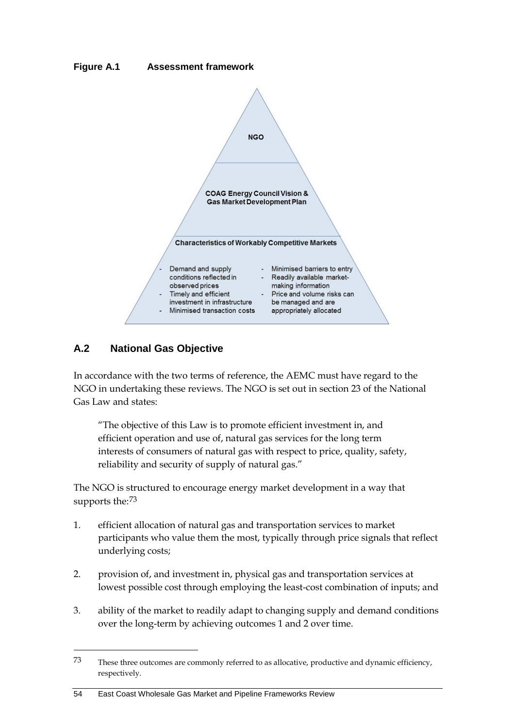



## <span id="page-61-0"></span>**A.2 National Gas Objective**

-

In accordance with the two terms of reference, the AEMC must have regard to the NGO in undertaking these reviews. The NGO is set out in section 23 of the National Gas Law and states:

"The objective of this Law is to promote efficient investment in, and efficient operation and use of, natural gas services for the long term interests of consumers of natural gas with respect to price, quality, safety, reliability and security of supply of natural gas."

The NGO is structured to encourage energy market development in a way that supports the:[73](#page-61-1)

- 1. efficient allocation of natural gas and transportation services to market participants who value them the most, typically through price signals that reflect underlying costs;
- 2. provision of, and investment in, physical gas and transportation services at lowest possible cost through employing the least-cost combination of inputs; and
- 3. ability of the market to readily adapt to changing supply and demand conditions over the long-term by achieving outcomes 1 and 2 over time.

<span id="page-61-1"></span><sup>73</sup> These three outcomes are commonly referred to as allocative, productive and dynamic efficiency, respectively.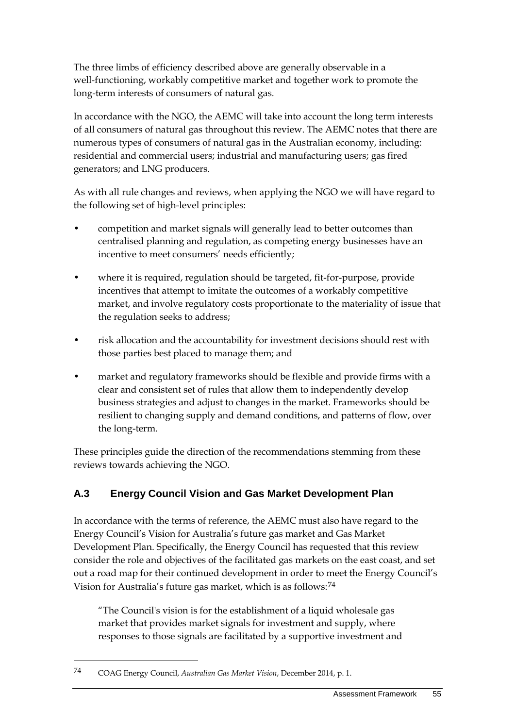The three limbs of efficiency described above are generally observable in a well-functioning, workably competitive market and together work to promote the long-term interests of consumers of natural gas.

In accordance with the NGO, the AEMC will take into account the long term interests of all consumers of natural gas throughout this review. The AEMC notes that there are numerous types of consumers of natural gas in the Australian economy, including: residential and commercial users; industrial and manufacturing users; gas fired generators; and LNG producers.

As with all rule changes and reviews, when applying the NGO we will have regard to the following set of high-level principles:

- competition and market signals will generally lead to better outcomes than centralised planning and regulation, as competing energy businesses have an incentive to meet consumers' needs efficiently;
- where it is required, regulation should be targeted, fit-for-purpose, provide incentives that attempt to imitate the outcomes of a workably competitive market, and involve regulatory costs proportionate to the materiality of issue that the regulation seeks to address;
- risk allocation and the accountability for investment decisions should rest with those parties best placed to manage them; and
- market and regulatory frameworks should be flexible and provide firms with a clear and consistent set of rules that allow them to independently develop business strategies and adjust to changes in the market. Frameworks should be resilient to changing supply and demand conditions, and patterns of flow, over the long-term.

These principles guide the direction of the recommendations stemming from these reviews towards achieving the NGO.

## <span id="page-62-0"></span>**A.3 Energy Council Vision and Gas Market Development Plan**

In accordance with the terms of reference, the AEMC must also have regard to the Energy Council's Vision for Australia's future gas market and Gas Market Development Plan. Specifically, the Energy Council has requested that this review consider the role and objectives of the facilitated gas markets on the east coast, and set out a road map for their continued development in order to meet the Energy Council's Vision for Australia's future gas market, which is as follows:[74](#page-62-1)

"The Council's vision is for the establishment of a liquid wholesale gas market that provides market signals for investment and supply, where responses to those signals are facilitated by a supportive investment and

<span id="page-62-1"></span><sup>74</sup> COAG Energy Council, *Australian Gas Market Vision*, December 2014, p. 1.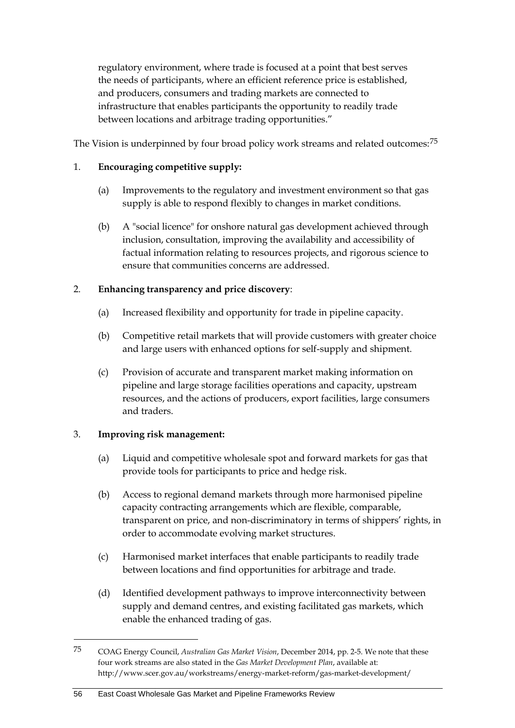regulatory environment, where trade is focused at a point that best serves the needs of participants, where an efficient reference price is established, and producers, consumers and trading markets are connected to infrastructure that enables participants the opportunity to readily trade between locations and arbitrage trading opportunities."

The Vision is underpinned by four broad policy work streams and related outcomes:[75](#page-63-0)

#### 1. **Encouraging competitive supply:**

- (a) Improvements to the regulatory and investment environment so that gas supply is able to respond flexibly to changes in market conditions.
- (b) A "social licence" for onshore natural gas development achieved through inclusion, consultation, improving the availability and accessibility of factual information relating to resources projects, and rigorous science to ensure that communities concerns are addressed.

#### 2. **Enhancing transparency and price discovery**:

- (a) Increased flexibility and opportunity for trade in pipeline capacity.
- (b) Competitive retail markets that will provide customers with greater choice and large users with enhanced options for self-supply and shipment.
- (c) Provision of accurate and transparent market making information on pipeline and large storage facilities operations and capacity, upstream resources, and the actions of producers, export facilities, large consumers and traders.

#### 3. **Improving risk management:**

- (a) Liquid and competitive wholesale spot and forward markets for gas that provide tools for participants to price and hedge risk.
- (b) Access to regional demand markets through more harmonised pipeline capacity contracting arrangements which are flexible, comparable, transparent on price, and non-discriminatory in terms of shippers' rights, in order to accommodate evolving market structures.
- (c) Harmonised market interfaces that enable participants to readily trade between locations and find opportunities for arbitrage and trade.
- (d) Identified development pathways to improve interconnectivity between supply and demand centres, and existing facilitated gas markets, which enable the enhanced trading of gas.

<span id="page-63-0"></span><sup>75</sup> COAG Energy Council, *Australian Gas Market Vision*, December 2014, pp. 2-5. We note that these four work streams are also stated in the *Gas Market Development Plan*, available at: http://www.scer.gov.au/workstreams/energy-market-reform/gas-market-development/

<sup>56</sup> East Coast Wholesale Gas Market and Pipeline Frameworks Review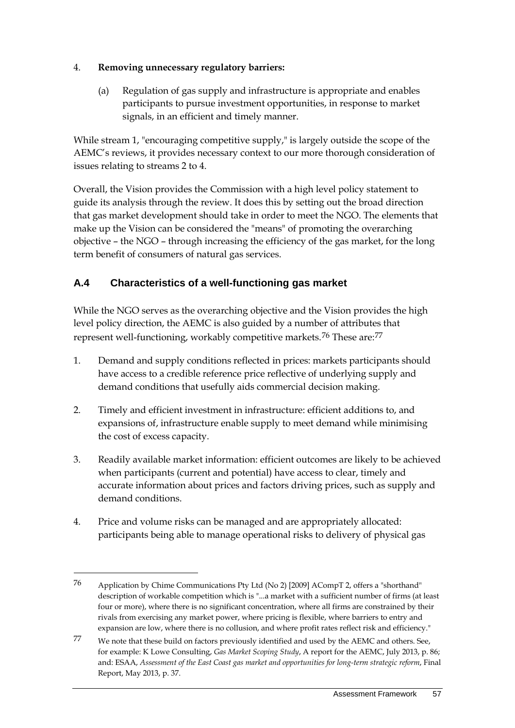#### 4. **Removing unnecessary regulatory barriers:**

(a) Regulation of gas supply and infrastructure is appropriate and enables participants to pursue investment opportunities, in response to market signals, in an efficient and timely manner.

While stream 1, "encouraging competitive supply," is largely outside the scope of the AEMC's reviews, it provides necessary context to our more thorough consideration of issues relating to streams 2 to 4.

Overall, the Vision provides the Commission with a high level policy statement to guide its analysis through the review. It does this by setting out the broad direction that gas market development should take in order to meet the NGO. The elements that make up the Vision can be considered the "means" of promoting the overarching objective – the NGO – through increasing the efficiency of the gas market, for the long term benefit of consumers of natural gas services.

## <span id="page-64-0"></span>**A.4 Characteristics of a well-functioning gas market**

While the NGO serves as the overarching objective and the Vision provides the high level policy direction, the AEMC is also guided by a number of attributes that represent well-functioning, workably competitive markets.<sup>[76](#page-64-1)</sup> These are:<sup>[77](#page-64-2)</sup>

- 1. Demand and supply conditions reflected in prices: markets participants should have access to a credible reference price reflective of underlying supply and demand conditions that usefully aids commercial decision making.
- 2. Timely and efficient investment in infrastructure: efficient additions to, and expansions of, infrastructure enable supply to meet demand while minimising the cost of excess capacity.
- 3. Readily available market information: efficient outcomes are likely to be achieved when participants (current and potential) have access to clear, timely and accurate information about prices and factors driving prices, such as supply and demand conditions.
- 4. Price and volume risks can be managed and are appropriately allocated: participants being able to manage operational risks to delivery of physical gas

<span id="page-64-1"></span><sup>76</sup> Application by Chime Communications Pty Ltd (No 2) [2009] ACompT 2, offers a "shorthand" description of workable competition which is "...a market with a sufficient number of firms (at least four or more), where there is no significant concentration, where all firms are constrained by their rivals from exercising any market power, where pricing is flexible, where barriers to entry and expansion are low, where there is no collusion, and where profit rates reflect risk and efficiency."

<span id="page-64-2"></span><sup>77</sup> We note that these build on factors previously identified and used by the AEMC and others. See, for example: K Lowe Consulting, *Gas Market Scoping Study*, A report for the AEMC, July 2013, p. 86; and: ESAA, *Assessment of the East Coast gas market and opportunities for long-term strategic reform*, Final Report, May 2013, p. 37.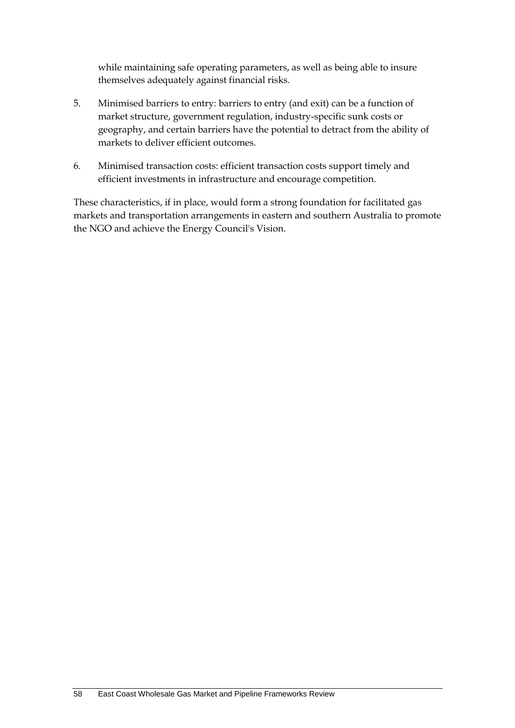while maintaining safe operating parameters, as well as being able to insure themselves adequately against financial risks.

- 5. Minimised barriers to entry: barriers to entry (and exit) can be a function of market structure, government regulation, industry-specific sunk costs or geography, and certain barriers have the potential to detract from the ability of markets to deliver efficient outcomes.
- 6. Minimised transaction costs: efficient transaction costs support timely and efficient investments in infrastructure and encourage competition.

These characteristics, if in place, would form a strong foundation for facilitated gas markets and transportation arrangements in eastern and southern Australia to promote the NGO and achieve the Energy Council's Vision.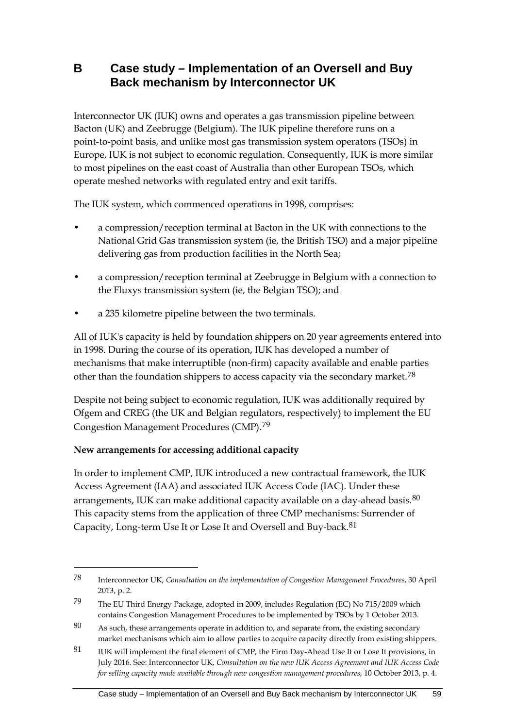## <span id="page-66-0"></span>**B Case study – Implementation of an Oversell and Buy Back mechanism by Interconnector UK**

Interconnector UK (IUK) owns and operates a gas transmission pipeline between Bacton (UK) and Zeebrugge (Belgium). The IUK pipeline therefore runs on a point-to-point basis, and unlike most gas transmission system operators (TSOs) in Europe, IUK is not subject to economic regulation. Consequently, IUK is more similar to most pipelines on the east coast of Australia than other European TSOs, which operate meshed networks with regulated entry and exit tariffs.

The IUK system, which commenced operations in 1998, comprises:

- a compression/reception terminal at Bacton in the UK with connections to the National Grid Gas transmission system (ie, the British TSO) and a major pipeline delivering gas from production facilities in the North Sea;
- a compression/reception terminal at Zeebrugge in Belgium with a connection to the Fluxys transmission system (ie, the Belgian TSO); and
- a 235 kilometre pipeline between the two terminals.

All of IUK's capacity is held by foundation shippers on 20 year agreements entered into in 1998. During the course of its operation, IUK has developed a number of mechanisms that make interruptible (non-firm) capacity available and enable parties other than the foundation shippers to access capacity via the secondary market.<sup>[78](#page-66-1)</sup>

Despite not being subject to economic regulation, IUK was additionally required by Ofgem and CREG (the UK and Belgian regulators, respectively) to implement the EU Congestion Management Procedures (CMP).[79](#page-66-2)

#### **New arrangements for accessing additional capacity**

-

In order to implement CMP, IUK introduced a new contractual framework, the IUK Access Agreement (IAA) and associated IUK Access Code (IAC). Under these arrangements, IUK can make additional capacity available on a day-ahead basis.<sup>[80](#page-66-3)</sup> This capacity stems from the application of three CMP mechanisms: Surrender of Capacity, Long-term Use It or Lose It and Oversell and Buy-back.[81](#page-66-4)

<span id="page-66-1"></span><sup>78</sup> Interconnector UK, *Consultation on the implementation of Congestion Management Procedures*, 30 April 2013, p. 2.

<span id="page-66-2"></span><sup>79</sup> The EU Third Energy Package, adopted in 2009, includes Regulation (EC) No 715/2009 which contains Congestion Management Procedures to be implemented by TSOs by 1 October 2013.

<span id="page-66-3"></span><sup>80</sup> As such, these arrangements operate in addition to, and separate from, the existing secondary market mechanisms which aim to allow parties to acquire capacity directly from existing shippers.

<span id="page-66-4"></span><sup>81</sup> IUK will implement the final element of CMP, the Firm Day-Ahead Use It or Lose It provisions, in July 2016. See: Interconnector UK, *Consultation on the new IUK Access Agreement and IUK Access Code for selling capacity made available through new congestion management procedures*, 10 October 2013, p. 4.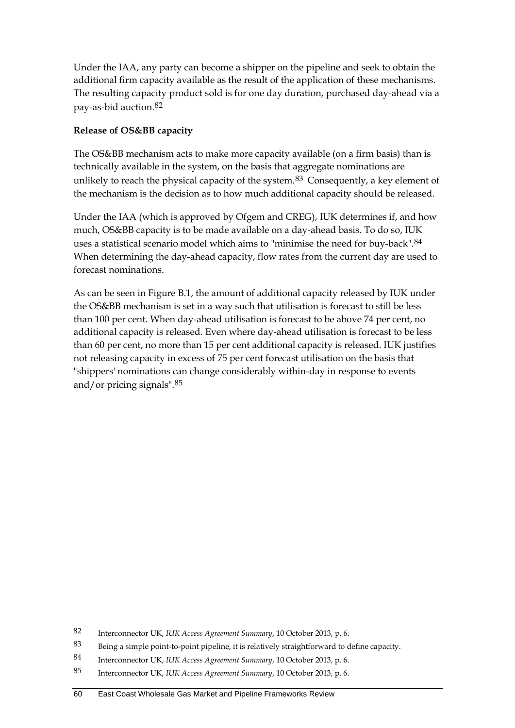Under the IAA, any party can become a shipper on the pipeline and seek to obtain the additional firm capacity available as the result of the application of these mechanisms. The resulting capacity product sold is for one day duration, purchased day-ahead via a pay-as-bid auction.[82](#page-67-0)

#### **Release of OS&BB capacity**

The OS&BB mechanism acts to make more capacity available (on a firm basis) than is technically available in the system, on the basis that aggregate nominations are unlikely to reach the physical capacity of the system.<sup>[83](#page-67-1)</sup> Consequently, a key element of the mechanism is the decision as to how much additional capacity should be released.

Under the IAA (which is approved by Ofgem and CREG), IUK determines if, and how much, OS&BB capacity is to be made available on a day-ahead basis. To do so, IUK uses a statistical scenario model which aims to "minimise the need for buy-back".[84](#page-67-2) When determining the day-ahead capacity, flow rates from the current day are used to forecast nominations.

As can be seen in Figure B.1, the amount of additional capacity released by IUK under the OS&BB mechanism is set in a way such that utilisation is forecast to still be less than 100 per cent. When day-ahead utilisation is forecast to be above 74 per cent, no additional capacity is released. Even where day-ahead utilisation is forecast to be less than 60 per cent, no more than 15 per cent additional capacity is released. IUK justifies not releasing capacity in excess of 75 per cent forecast utilisation on the basis that "shippers' nominations can change considerably within-day in response to events and/or pricing signals".[85](#page-67-3)

<span id="page-67-0"></span><sup>82</sup> Interconnector UK, *IUK Access Agreement Summary*, 10 October 2013, p. 6.

<span id="page-67-1"></span><sup>83</sup> Being a simple point-to-point pipeline, it is relatively straightforward to define capacity.

<span id="page-67-2"></span><sup>84</sup> Interconnector UK, *IUK Access Agreement Summary*, 10 October 2013, p. 6.

<span id="page-67-3"></span><sup>85</sup> Interconnector UK, *IUK Access Agreement Summary*, 10 October 2013, p. 6.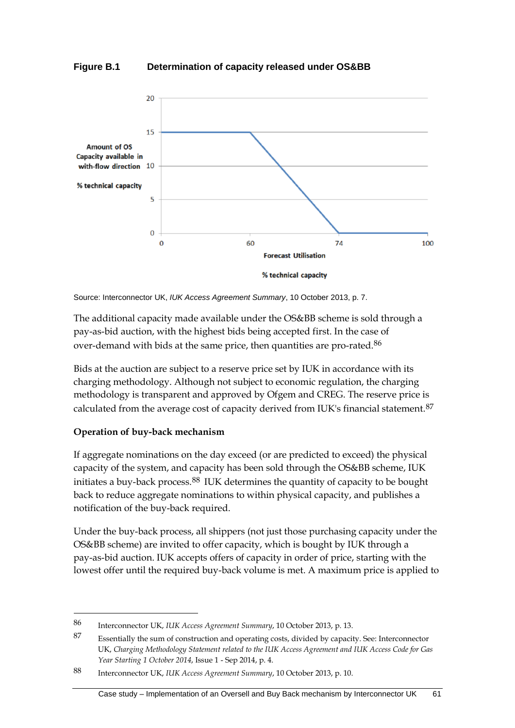**Figure B.1 Determination of capacity released under OS&BB**



Source: Interconnector UK, *IUK Access Agreement Summary*, 10 October 2013, p. 7.

The additional capacity made available under the OS&BB scheme is sold through a pay-as-bid auction, with the highest bids being accepted first. In the case of over-demand with bids at the same price, then quantities are pro-rated.<sup>[86](#page-68-0)</sup>

Bids at the auction are subject to a reserve price set by IUK in accordance with its charging methodology. Although not subject to economic regulation, the charging methodology is transparent and approved by Ofgem and CREG. The reserve price is calculated from the average cost of capacity derived from IUK's financial statement.<sup>[87](#page-68-1)</sup>

#### **Operation of buy-back mechanism**

-

If aggregate nominations on the day exceed (or are predicted to exceed) the physical capacity of the system, and capacity has been sold through the OS&BB scheme, IUK initiates a buy-back process.[88](#page-68-2) IUK determines the quantity of capacity to be bought back to reduce aggregate nominations to within physical capacity, and publishes a notification of the buy-back required.

Under the buy-back process, all shippers (not just those purchasing capacity under the OS&BB scheme) are invited to offer capacity, which is bought by IUK through a pay-as-bid auction. IUK accepts offers of capacity in order of price, starting with the lowest offer until the required buy-back volume is met. A maximum price is applied to

<span id="page-68-0"></span><sup>86</sup> Interconnector UK, *IUK Access Agreement Summary*, 10 October 2013, p. 13.

<span id="page-68-1"></span><sup>87</sup> Essentially the sum of construction and operating costs, divided by capacity. See: Interconnector UK, *Charging Methodology Statement related to the IUK Access Agreement and IUK Access Code for Gas Year Starting 1 October 2014*, Issue 1 - Sep 2014, p. 4.

<span id="page-68-2"></span><sup>88</sup> Interconnector UK, *IUK Access Agreement Summary*, 10 October 2013, p. 10.